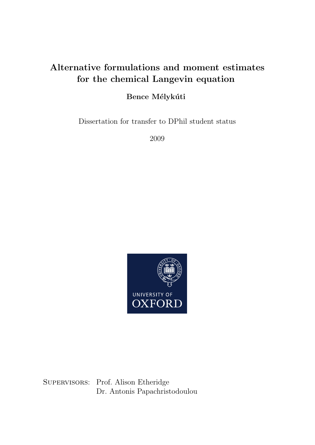# Alternative formulations and moment estimates for the chemical Langevin equation

## Bence Mélykúti

Dissertation for transfer to DPhil student status

2009



SUPERVISORS: Prof. Alison Etheridge Dr. Antonis Papachristodoulou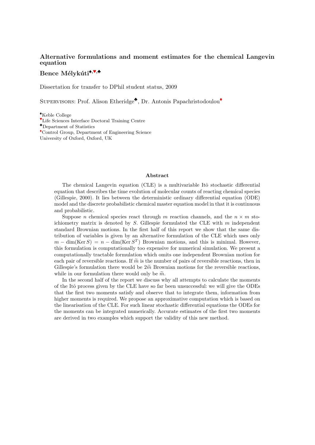## Alternative formulations and moment estimates for the chemical Langevin equation

## Bence Mélykúti<sup> $,$ v</sup>,

Dissertation for transfer to DPhil student status, 2009

SUPERVISORS: Prof. Alison Etheridge<sup>•</sup>, Dr. Antonis Papachristodoulou<sup>•</sup>

♠Keble College

♥Life Sciences Interface Doctoral Training Centre

♣Department of Statistics

♦Control Group, Department of Engineering Science University of Oxford, Oxford, UK

#### Abstract

The chemical Langevin equation (CLE) is a multivariable Itô stochastic differential equation that describes the time evolution of molecular counts of reacting chemical species (Gillespie, 2000). It lies between the deterministic ordinary differential equation (ODE) model and the discrete probabilistic chemical master equation model in that it is continuous and probabilistic.

Suppose n chemical species react through m reaction channels, and the  $n \times m$  stoichiometry matrix is denoted by  $S$ . Gillespie formulated the CLE with  $m$  independent standard Brownian motions. In the first half of this report we show that the same distribution of variables is given by an alternative formulation of the CLE which uses only  $m - \dim(\text{Ker } S) = n - \dim(\text{Ker } S^T)$  Brownian motions, and this is minimal. However, this formulation is computationally too expensive for numerical simulation. We present a computationally tractable formulation which omits one independent Brownian motion for each pair of reversible reactions. If  $\tilde{m}$  is the number of pairs of reversible reactions, then in Gillespie's formulation there would be  $2\tilde{m}$  Brownian motions for the reversible reactions, while in our formulation there would only be  $\widetilde{m}$ .

In the second half of the report we discuss why all attempts to calculate the moments of the Itˆo process given by the CLE have so far been unsuccessful: we will give the ODEs that the first two moments satisfy and observe that to integrate them, information from higher moments is required. We propose an approximative computation which is based on the linearisation of the CLE. For such linear stochastic differential equations the ODEs for the moments can be integrated numerically. Accurate estimates of the first two moments are derived in two examples which support the validity of this new method.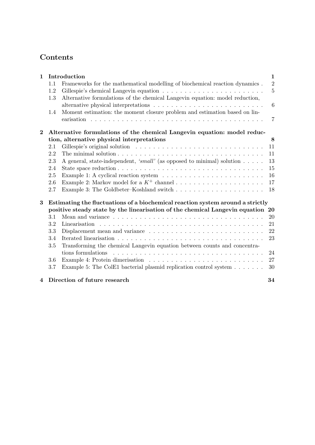# Contents

| $\mathbf{1}$            |     | Introduction                                                                                 | 1               |
|-------------------------|-----|----------------------------------------------------------------------------------------------|-----------------|
|                         | 1.1 | Frameworks for the mathematical modelling of biochemical reaction dynamics.                  | $\overline{2}$  |
|                         | 1.2 |                                                                                              | $\overline{5}$  |
|                         | 1.3 | Alternative formulations of the chemical Langevin equation: model reduction,                 |                 |
|                         |     |                                                                                              | $6\phantom{.}6$ |
|                         | 1.4 | Moment estimation: the moment closure problem and estimation based on lin-                   |                 |
|                         |     |                                                                                              | $\overline{7}$  |
| $\mathbf 2$             |     | Alternative formulations of the chemical Langevin equation: model reduc-                     |                 |
|                         |     | tion, alternative physical interpretations                                                   | 8               |
|                         | 2.1 |                                                                                              | 11              |
|                         | 2.2 |                                                                                              | 11              |
|                         | 2.3 | A general, state-independent, 'small' (as opposed to minimal) solution $\dots$ .             | 13              |
|                         | 2.4 |                                                                                              | 15              |
|                         | 2.5 |                                                                                              | 16              |
|                         | 2.6 |                                                                                              | 17              |
|                         | 2.7 |                                                                                              | 18              |
| 3                       |     | Estimating the fluctuations of a biochemical reaction system around a strictly               |                 |
|                         |     | positive steady state by the linearisation of the chemical Langevin equation 20              |                 |
|                         | 3.1 |                                                                                              | 20              |
|                         | 3.2 |                                                                                              | 21              |
|                         | 3.3 | Displacement mean and variance $\dots \dots \dots \dots \dots \dots \dots \dots \dots \dots$ | 22              |
|                         | 3.4 |                                                                                              | 23              |
|                         | 3.5 | Transforming the chemical Langevin equation between counts and concentra-                    |                 |
|                         |     | tions formulations                                                                           | 24              |
|                         | 3.6 |                                                                                              | 27              |
|                         | 3.7 | Example 5: The ColE1 bacterial plasmid replication control system                            | 30              |
| $\overline{\mathbf{4}}$ |     | Direction of future research                                                                 | 34              |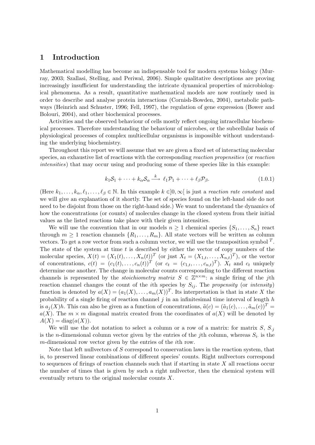## 1 Introduction

Mathematical modelling has become an indispensable tool for modern systems biology (Murray, 2003; Szallasi, Stelling, and Periwal, 2006). Simple qualitative descriptions are proving increasingly insufficient for understanding the intricate dynamical properties of microbiological phenomena. As a result, quantitative mathematical models are now routinely used in order to describe and analyse protein interactions (Cornish-Bowden, 2004), metabolic pathways (Heinrich and Schuster, 1996; Fell, 1997), the regulation of gene expression (Bower and Bolouri, 2004), and other biochemical processes.

Activities and the observed behaviour of cells mostly reflect ongoing intracellular biochemical processes. Therefore understanding the behaviour of microbes, or the subcellular basis of physiological processes of complex multicellular organisms is impossible without understanding the underlying biochemistry.

Throughout this report we will assume that we are given a fixed set of interacting molecular species, an exhaustive list of reactions with the corresponding reaction propensities (or reaction intensities) that may occur using and producing some of these species like in this example:

$$
k_1 \mathcal{S}_1 + \dots + k_\alpha \mathcal{S}_\alpha \xrightarrow{k} \ell_1 \mathcal{P}_1 + \dots + \ell_\beta \mathcal{P}_\beta. \tag{1.0.1}
$$

(Here  $k_1, \ldots, k_\alpha, \ell_1, \ldots, \ell_\beta \in \mathbb{N}$ . In this example  $k \in ]0, \infty[$  is just a *reaction rate constant* and we will give an explanation of it shortly. The set of species found on the left-hand side do not need to be disjoint from those on the right-hand side.) We want to understand the dynamics of how the concentrations (or counts) of molecules change in the closed system from their initial values as the listed reactions take place with their given intensities.

We will use the convention that in our models  $n \geq 1$  chemical species  $\{S_1, \ldots, S_n\}$  react through  $m \geq 1$  reaction channels  $\{R_1, \ldots, R_m\}$ . All state vectors will be written as column vectors. To get a row vector from such a column vector, we will use the transposition symbol  $^T$ . The state of the system at time  $t$  is described by either the vector of copy numbers of the molecular species,  $X(t) = (X_1(t), \ldots, X_n(t))^T$  (or just  $X_t = (X_{1,t}, \ldots, X_{n,t})^T$ ), or the vector of concentrations,  $c(t) = (c_1(t), \ldots, c_n(t))^T$  (or  $c_t = (c_{1,t}, \ldots, c_{n,t})^T$ ).  $X_t$  and  $c_t$  uniquely determine one another. The change in molecular counts corresponding to the different reaction channels is represented by the *stoichiometry matrix*  $S \in \mathbb{Z}^{n \times m}$ : a single firing of the *j*th reaction channel changes the count of the *i*th species by  $S_{ij}$ . The *propensity* (or *intensity*) function is denoted by  $a(X) = (a_1(X), \ldots, a_m(X))^T$ . Its interpretation is that in state X the probability of a single firing of reaction channel  $j$  in an infinitesimal time interval of length  $h$ is  $a_i(X)h$ . This can also be given as a function of concentrations,  $\tilde{a}(c) = (\tilde{a}_1(c), \ldots, \tilde{a}_m(c))^T$  $a(X)$ . The  $m \times m$  diagonal matrix created from the coordinates of  $a(X)$  will be denoted by  $A(X) = diag(a(X)).$ 

We will use the dot notation to select a column or a row of a matrix: for matrix  $S, S_i$ is the *n*-dimensional column vector given by the entries of the *j*th column, whereas  $S_i$  is the m-dimensional row vector given by the entries of the ith row.

Note that left nullvectors of S correspond to conservation laws in the reaction system, that is, to preserved linear combinations of different species' counts. Right nullvectors correspond to sequences of firings of reaction channels such that if starting in state  $X$  all reactions occur the number of times that is given by such a right nullvector, then the chemical system will eventually return to the original molecular counts X.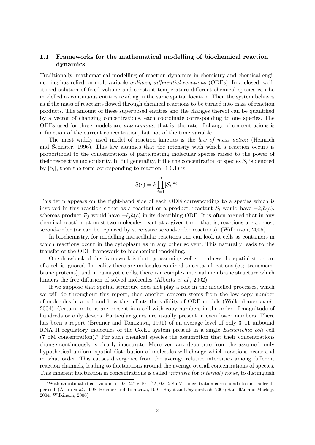## 1.1 Frameworks for the mathematical modelling of biochemical reaction dynamics

Traditionally, mathematical modelling of reaction dynamics in chemistry and chemical engineering has relied on multivariable *ordinary differential equations* (ODEs). In a closed, wellstirred solution of fixed volume and constant temperature different chemical species can be modelled as continuous entities residing in the same spatial location. Then the system behaves as if the mass of reactants flowed through chemical reactions to be turned into mass of reaction products. The amount of these superposed entities and the changes thereof can be quantified by a vector of changing concentrations, each coordinate corresponding to one species. The ODEs used for these models are autonomous, that is, the rate of change of concentrations is a function of the current concentration, but not of the time variable.

The most widely used model of reaction kinetics is the law of mass action (Heinrich and Schuster, 1996). This law assumes that the intensity with which a reaction occurs is proportional to the concentrations of participating molecular species raised to the power of their respective molecularity. In full generality, if the the concentration of species  $\mathcal{S}_i$  is denoted by  $[\mathcal{S}_i]$ , then the term corresponding to reaction  $(1.0.1)$  is

$$
\tilde{a}(c) = k \prod_{i=1}^{\alpha} [\mathcal{S}_i]^{k_i}.
$$

This term appears on the right-hand side of each ODE corresponding to a species which is involved in this reaction either as a reactant or a product: reactant  $\mathcal{S}_i$  would have  $-k_i\tilde{a}(c)$ , whereas product  $\mathcal{P}_j$  would have  $+\ell_j \tilde{a}(c)$  in its describing ODE. It is often argued that in any chemical reaction at most two molecules react at a given time, that is, reactions are at most second-order (or can be replaced by successive second-order reactions). (Wilkinson, 2006)

In biochemistry, for modelling intracellular reactions one can look at cells as containers in which reactions occur in the cytoplasm as in any other solvent. This naturally leads to the transfer of the ODE framework to biochemical modelling.

One drawback of this framework is that by assuming well-stirredness the spatial structure of a cell is ignored. In reality there are molecules confined to certain locations (e.g. transmembrane proteins), and in eukaryotic cells, there is a complex internal membrane structure which hinders the free diffusion of solved molecules (Alberts *et al.*, 2002).

If we suppose that spatial structure does not play a role in the modelled processes, which we will do throughout this report, then another concern stems from the low copy number of molecules in a cell and how this affects the validity of ODE models (Wolkenhauer et al., 2004). Certain proteins are present in a cell with copy numbers in the order of magnitude of hundreds or only dozens. Particular genes are usually present in even lower numbers. There has been a report (Brenner and Tomizawa, 1991) of an average level of only 3–11 unbound RNA II regulatory molecules of the ColE1 system present in a single Escherichia coli cell (7 nM concentration).<sup>∗</sup> For such chemical species the assumption that their concentrations change continuously is clearly inaccurate. Moreover, any departure from the assumed, only hypothetical uniform spatial distribution of molecules will change which reactions occur and in what order. This causes divergence from the average relative intensities among different reaction channels, leading to fluctuations around the average overall concentrations of species. This inherent fluctuation in concentrations is called intrinsic (or internal) noise, to distinguish

<sup>&</sup>lt;sup>\*</sup>With an estimated cell volume of  $0.6-2.7 \times 10^{-15}$   $\ell$ , 0.6–2.8 nM concentration corresponds to one molecule per cell. (Arkin et al., 1998; Brenner and Tomizawa, 1991; Hayot and Jayaprakash, 2004; Santillán and Mackey, 2004; Wilkinson, 2006)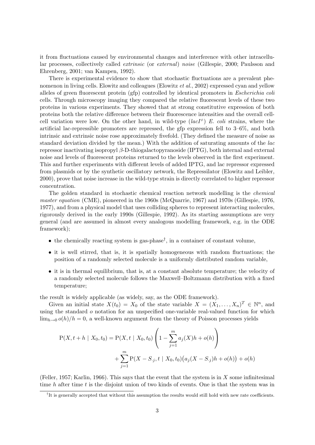it from fluctuations caused by environmental changes and interference with other intracellular processes, collectively called extrinsic (or external) noise (Gillespie, 2000; Paulsson and Ehrenberg, 2001; van Kampen, 1992).

There is experimental evidence to show that stochastic fluctuations are a prevalent phenomenon in living cells. Elowitz and colleagues (Elowitz *et al.*, 2002) expressed cyan and yellow alleles of green fluorescent protein (gfp) controlled by identical promoters in Escherichia coli cells. Through microscopy imaging they compared the relative fluorescent levels of these two proteins in various experiments. They showed that at strong constitutive expression of both proteins both the relative difference between their fluorescence intensities and the overall cellcell variation were low. On the other hand, in wild-type  $(lacI^+)$  E. coli strains, where the artificial lac-repressible promoters are repressed, the gfp expression fell to 3–6%, and both intrinsic and extrinsic noise rose approximately fivefold. (They defined the measure of noise as standard deviation divided by the mean.) With the addition of saturating amounts of the lac repressor inactivating isopropyl β-D-thiogalactopyranoside (IPTG), both internal and external noise and levels of fluorescent proteins returned to the levels observed in the first experiment. This and further experiments with different levels of added IPTG, and lac repressor expressed from plasmids or by the synthetic oscillatory network, the Repressilator (Elowitz and Leibler, 2000), prove that noise increase in the wild-type strain is directly correlated to higher repressor concentration.

The golden standard in stochastic chemical reaction network modelling is the chemical master equation (CME), pioneered in the 1960s (McQuarrie, 1967) and 1970s (Gillespie, 1976, 1977), and from a physical model that uses colliding spheres to represent interacting molecules, rigorously derived in the early 1990s (Gillespie, 1992). As its starting assumptions are very general (and are assumed in almost every analogous modelling framework, e.g. in the ODE framework);

- $\bullet$  the chemically reacting system is gas-phase<sup>†</sup>, in a container of constant volume,
- it is well stirred, that is, it is spatially homogeneous with random fluctuations; the position of a randomly selected molecule is a uniformly distributed random variable,
- it is in thermal equilibrium, that is, at a constant absolute temperature; the velocity of a randomly selected molecule follows the Maxwell–Boltzmann distribution with a fixed temperature;

the result is widely applicable (as widely, say, as the ODE framework).

Given an initial state  $X(t_0) = X_0$  of the state variable  $X = (X_1, \ldots, X_n)^T \in \mathbb{N}^n$ , and using the standard  $o$  notation for an unspecified one-variable real-valued function for which  $\lim_{h\to 0} o(h)/h = 0$ , a well-known argument from the theory of Poisson processes yields

$$
P(X, t + h | X_0, t_0) = P(X, t | X_0, t_0) \left( 1 - \sum_{j=1}^m a_j(X)h + o(h) \right)
$$
  
+ 
$$
\sum_{j=1}^m P(X - S_{\cdot j}, t | X_0, t_0) (a_j(X - S_{\cdot j})h + o(h)) + o(h)
$$

(Feller, 1957; Karlin, 1966). This says that the event that the system is in  $X$  some infinitesimal time  $h$  after time  $t$  is the disjoint union of two kinds of events. One is that the system was in

<sup>&</sup>lt;sup>†</sup>It is generally accepted that without this assumption the results would still hold with new rate coefficients.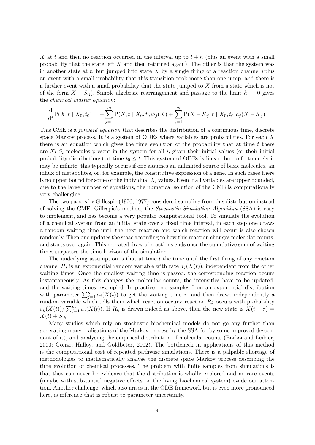X at t and then no reaction occurred in the interval up to  $t + h$  (plus an event with a small probability that the state left  $X$  and then returned again). The other is that the system was in another state at t, but jumped into state  $X$  by a single firing of a reaction channel (plus an event with a small probability that this transition took more than one jump, and there is a further event with a small probability that the state jumped to X from a state which is not of the form  $X - S_i$ ). Simple algebraic rearrangement and passage to the limit  $h \to 0$  gives the chemical master equation:

$$
\frac{\mathrm{d}}{\mathrm{d}t}\mathrm{P}(X,t\mid X_0,t_0)=-\sum_{j=1}^m\mathrm{P}(X,t\mid X_0,t_0)a_j(X)+\sum_{j=1}^m\mathrm{P}(X-S_{\cdot j},t\mid X_0,t_0)a_j(X-S_{\cdot j}).
$$

This CME is a *forward equation* that describes the distribution of a continuous time, discrete space Markov process. It is a system of ODEs where variables are probabilities. For each X there is an equation which gives the time evolution of the probability that at time  $t$  there are  $X_i$   $S_i$  molecules present in the system for all i, given their initial values (or their initial probability distributions) at time  $t_0 \leq t$ . This system of ODEs is linear, but unfortunately it may be infinite: this typically occurs if one assumes an unlimited source of basic molecules, an influx of metabolites, or, for example, the constitutive expression of a gene. In such cases there is no upper bound for some of the individual  $X_i$  values. Even if all variables are upper bounded, due to the large number of equations, the numerical solution of the CME is computationally very challenging.

The two papers by Gillespie (1976, 1977) considered sampling from this distribution instead of solving the CME. Gillespie's method, the Stochastic Simulation Algorithm (SSA) is easy to implement, and has become a very popular computational tool. To simulate the evolution of a chemical system from an initial state over a fixed time interval, in each step one draws a random waiting time until the next reaction and which reaction will occur is also chosen randomly. Then one updates the state according to how this reaction changes molecular counts, and starts over again. This repeated draw of reactions ends once the cumulative sum of waiting times surpasses the time horizon of the simulation.

The underlying assumption is that at time  $t$  the time until the first firing of any reaction channel  $R_i$  is an exponential random variable with rate  $a_i(X(t))$ , independent from the other waiting times. Once the smallest waiting time is passed, the corresponding reaction occurs instantaneously. As this changes the molecular counts, the intensities have to be updated, and the waiting times resampled. In practice, one samples from an exponential distribution with parameter  $\sum_{j=1}^m a_j(X(t))$  to get the waiting time  $\tau$ , and then draws independently a random variable which tells them which reaction occurs: reaction  $R_k$  occurs with probability  $a_k(X(t))/\sum_{j=1}^m a_j(X(t))$ . If  $R_k$  is drawn indeed as above, then the new state is  $X(t+\tau)$  $X(t) + S_{k}.$ 

Many studies which rely on stochastic biochemical models do not go any further than generating many realisations of the Markov process by the SSA (or by some improved descendant of it), and analysing the empirical distribution of molecular counts (Barkai and Leibler, 2000; Gonze, Halloy, and Goldbeter, 2002). The bottleneck in applications of this method is the computational cost of repeated pathwise simulations. There is a palpable shortage of methodologies to mathematically analyse the discrete space Markov process describing the time evolution of chemical processes. The problem with finite samples from simulations is that they can never be evidence that the distribution is wholly explored and no rare events (maybe with substantial negative effects on the living biochemical system) evade our attention. Another challenge, which also arises in the ODE framework but is even more pronounced here, is inference that is robust to parameter uncertainty.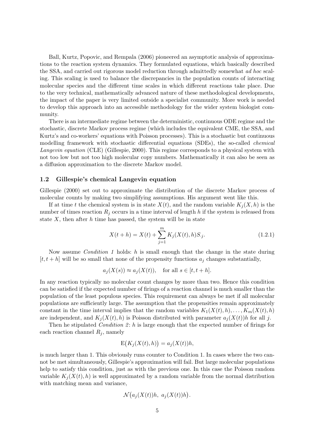Ball, Kurtz, Popovic, and Rempala (2006) pioneered an asymptotic analysis of approximations to the reaction system dynamics. They formulated equations, which basically described the SSA, and carried out rigorous model reduction through admittedly somewhat ad hoc scaling. This scaling is used to balance the discrepancies in the population counts of interacting molecular species and the different time scales in which different reactions take place. Due to the very technical, mathematically advanced nature of these methodological developments, the impact of the paper is very limited outside a specialist community. More work is needed to develop this approach into an accessible methodology for the wider system biologist community.

There is an intermediate regime between the deterministic, continuous ODE regime and the stochastic, discrete Markov process regime (which includes the equivalent CME, the SSA, and Kurtz's and co-workers' equations with Poisson processes). This is a stochastic but continuous modelling framework with stochastic differential equations (SDEs), the so-called chemical Langevin equation (CLE) (Gillespie, 2000). This regime corresponds to a physical system with not too low but not too high molecular copy numbers. Mathematically it can also be seen as a diffusion approximation to the discrete Markov model.

#### 1.2 Gillespie's chemical Langevin equation

Gillespie (2000) set out to approximate the distribution of the discrete Markov process of molecular counts by making two simplifying assumptions. His argument went like this.

If at time t the chemical system is in state  $X(t)$ , and the random variable  $K_i(X, h)$  is the number of times reaction  $R_i$  occurs in a time interval of length h if the system is released from state  $X$ , then after  $h$  time has passed, the system will be in state

$$
X(t+h) = X(t) + \sum_{j=1}^{m} K_j(X(t), h)S_{\cdot j}.
$$
\n(1.2.1)

Now assume *Condition 1* holds: h is small enough that the change in the state during  $[t, t+h]$  will be so small that none of the propensity functions  $a_i$  changes substantially,

$$
a_j(X(s)) \approx a_j(X(t)),
$$
 for all  $s \in [t, t+h]$ .

In any reaction typically no molecular count changes by more than two. Hence this condition can be satisfied if the expected number of firings of a reaction channel is much smaller than the population of the least populous species. This requirement can always be met if all molecular populations are sufficiently large. The assumption that the propensities remain approximately constant in the time interval implies that the random variables  $K_1(X(t), h), \ldots, K_m(X(t), h)$ are independent, and  $K_i(X(t), h)$  is Poisson distributed with parameter  $a_i(X(t))h$  for all j.

Then he stipulated *Condition 2:* h is large enough that the expected number of firings for each reaction channel  $R_j$ , namely

$$
E(K_j(X(t),h)) = a_j(X(t))h,
$$

is much larger than 1. This obviously runs counter to Condition 1. In cases where the two cannot be met simultaneously, Gillespie's approximation will fail. But large molecular populations help to satisfy this condition, just as with the previous one. In this case the Poisson random variable  $K_i(X(t), h)$  is well approximated by a random variable from the normal distribution with matching mean and variance,

$$
\mathcal{N}(a_j(X(t))h, a_j(X(t))h).
$$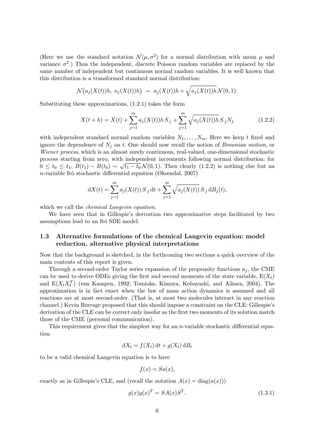(Here we use the standard notation  $\mathcal{N}(\mu, \sigma^2)$  for a normal distribution with mean  $\mu$  and variance  $\sigma^2$ .) Thus the independent, discrete Poisson random variables are replaced by the same number of independent but continuous normal random variables. It is well known that this distribution is a transformed standard normal distribution:

$$
\mathcal{N}(a_j(X(t))h, a_j(X(t))h) \sim a_j(X(t))h + \sqrt{a_j(X(t))h} \mathcal{N}(0,1).
$$

Substituting these approximations, (1.2.1) takes the form

$$
X(t+h) = X(t) + \sum_{j=1}^{m} a_j(X(t))h S_{\cdot j} + \sum_{j=1}^{m} \sqrt{a_j(X(t))h} S_{\cdot j} N_j
$$
(1.2.2)

with independent standard normal random variables  $N_1, \ldots, N_m$ . Here we keep t fixed and ignore the dependence of  $N_j$  on t. One should now recall the notion of *Brownian motion*, or Wiener process, which is an almost surely continuous, real-valued, one-dimensional stochastic process starting from zero, with independent increments following normal distribution: for  $0 \le t_0 \le t_1, B(t_1) - B(t_0) \sim \sqrt{t_1 - t_0} \mathcal{N}(0, 1)$ . Then clearly  $(1.2.2)$  is nothing else but an n-variable Itô stochastic differential equation (Øksendal, 2007)

$$
dX(t) = \sum_{j=1}^{m} a_j(X(t)) S_{\cdot j} dt + \sum_{j=1}^{m} \sqrt{a_j(X(t))} S_{\cdot j} dB_j(t),
$$

which we call the *chemical Langevin equation*.

We have seen that in Gillespie's derivation two approximative steps facilitated by two assumptions lead to an Itô SDE model.

## 1.3 Alternative formulations of the chemical Langevin equation: model reduction, alternative physical interpretations

Now that the background is sketched, in the forthcoming two sections a quick overview of the main contents of this report is given.

Through a second-order Taylor series expansion of the propensity functions  $a_i$ , the CME can be used to derive ODEs giving the first and second moments of the state variable,  $E(X_t)$ and  $E(X_t X_t^T)$  (van Kampen, 1992; Tomioka, Kimura, Kobayashi, and Aihara, 2004). The approximation is in fact exact when the law of mass action dynamics is assumed and all reactions are at most second-order. (That is, at most two molecules interact in any reaction channel.) Kevin Burrage proposed that this should impose a constraint on the CLE: Gillespie's derivation of the CLE can be correct only insofar as the first two moments of its solution match those of the CME (personal communication).

This requirement gives that the simplest way for an  $n$ -variable stochastic differential equation

$$
dX_t = f(X_t) dt + g(X_t) dB_t
$$

to be a valid chemical Langevin equation is to have

$$
f(x) = Sa(x),
$$

exactly as in Gillespie's CLE, and (recall the notation  $A(x) = \text{diag}(a(x))$ )

$$
g(x)g(x)^T = SA(x)S^T.
$$
\n(1.3.1)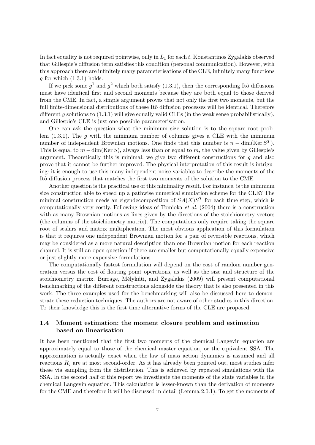In fact equality is not required pointwise, only in  $L_1$  for each t. Konstantinos Zygalakis observed that Gillespie's diffusion term satisfies this condition (personal communication). However, with this approach there are infinitely many parameterisations of the CLE, infinitely many functions q for which  $(1.3.1)$  holds.

If we pick some  $g^1$  and  $g^2$  which both satisfy (1.3.1), then the corresponding Itô diffusions must have identical first and second moments because they are both equal to those derived from the CME. In fact, a simple argument proves that not only the first two moments, but the full finite-dimensional distributions of these Itô diffusion processes will be identical. Therefore different g solutions to  $(1.3.1)$  will give equally valid CLEs (in the weak sense probabilistically), and Gillespie's CLE is just one possible parameterisation.

One can ask the question what the minimum size solution is to the square root problem  $(1.3.1)$ . The g with the minimum number of columns gives a CLE with the minimum number of independent Brownian motions. One finds that this number is  $n - \dim(\text{Ker } S^T)$ . This is equal to  $m - \dim(\text{Ker } S)$ , always less than or equal to m, the value given by Gillespie's argument. Theoretically this is minimal: we give two different constructions for  $g$  and also prove that it cannot be further improved. The physical interpretation of this result is intriguing: it is enough to use this many independent noise variables to describe the moments of the Itô diffusion process that matches the first two moments of the solution to the CME.

Another question is the practical use of this minimality result. For instance, is the minimum size construction able to speed up a pathwise numerical simulation scheme for the CLE? The minimal construction needs an eigendecomposition of  $SA(X)S<sup>T</sup>$  for each time step, which is computationally very costly. Following ideas of Tomioka et al. (2004) there is a construction with as many Brownian motions as lines given by the directions of the stoichiometry vectors (the columns of the stoichiometry matrix). The computations only require taking the square root of scalars and matrix multiplication. The most obvious application of this formulation is that it requires one independent Brownian motion for a pair of reversible reactions, which may be considered as a more natural description than one Brownian motion for each reaction channel. It is still an open question if there are smaller but computationally equally expensive or just slightly more expensive formulations.

The computationally fastest formulation will depend on the cost of random number generation versus the cost of floating point operations, as well as the size and structure of the stoichiometry matrix. Burrage, Mélykúti, and Zygalakis (2009) will present computational benchmarking of the different constructions alongside the theory that is also presented in this work. The three examples used for the benchmarking will also be discussed here to demonstrate these reduction techniques. The authors are not aware of other studies in this direction. To their knowledge this is the first time alternative forms of the CLE are proposed.

## 1.4 Moment estimation: the moment closure problem and estimation based on linearisation

It has been mentioned that the first two moments of the chemical Langevin equation are approximately equal to those of the chemical master equation, or the equivalent SSA. The approximation is actually exact when the law of mass action dynamics is assumed and all reactions  $R_i$  are at most second-order. As it has already been pointed out, most studies infer these via sampling from the distribution. This is achieved by repeated simulations with the SSA. In the second half of this report we investigate the moments of the state variables in the chemical Langevin equation. This calculation is lesser-known than the derivation of moments for the CME and therefore it will be discussed in detail (Lemma 2.0.1). To get the moments of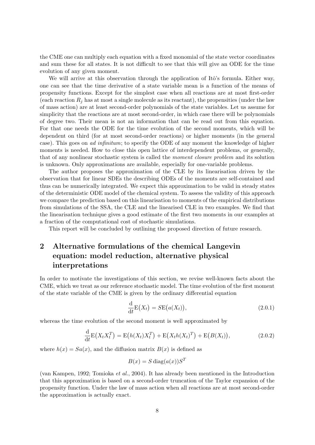the CME one can multiply each equation with a fixed monomial of the state vector coordinates and sum these for all states. It is not difficult to see that this will give an ODE for the time evolution of any given moment.

We will arrive at this observation through the application of Itô's formula. Either way, one can see that the time derivative of a state variable mean is a function of the means of propensity functions. Except for the simplest case when all reactions are at most first-order (each reaction  $R_j$  has at most a single molecule as its reactant), the propensities (under the law of mass action) are at least second-order polynomials of the state variables. Let us assume for simplicity that the reactions are at most second-order, in which case there will be polynomials of degree two. Their mean is not an information that can be read out from this equation. For that one needs the ODE for the time evolution of the second moments, which will be dependent on third (for at most second-order reactions) or higher moments (in the general case). This goes on ad infinitum; to specify the ODE of any moment the knowledge of higher moments is needed. How to close this open lattice of interdependent problems, or generally, that of any nonlinear stochastic system is called the moment closure problem and its solution is unknown. Only approximations are available, especially for one-variable problems.

The author proposes the approximation of the CLE by its linearisation driven by the observation that for linear SDEs the describing ODEs of the moments are self-contained and thus can be numerically integrated. We expect this approximation to be valid in steady states of the deterministic ODE model of the chemical system. To assess the validity of this approach we compare the prediction based on this linearisation to moments of the empirical distributions from simulations of the SSA, the CLE and the linearised CLE in two examples. We find that the linearisation technique gives a good estimate of the first two moments in our examples at a fraction of the computational cost of stochastic simulations.

This report will be concluded by outlining the proposed direction of future research.

## 2 Alternative formulations of the chemical Langevin equation: model reduction, alternative physical interpretations

In order to motivate the investigations of this section, we revise well-known facts about the CME, which we treat as our reference stochastic model. The time evolution of the first moment of the state variable of the CME is given by the ordinary differential equation

$$
\frac{\mathrm{d}}{\mathrm{d}t} \mathcal{E}(X_t) = S \mathcal{E}(a(X_t)),\tag{2.0.1}
$$

whereas the time evolution of the second moment is well approximated by

$$
\frac{d}{dt}E(X_t X_t^T) = E(h(X_t) X_t^T) + E(X_t h(X_t)^T) + E(B(X_t)),
$$
\n(2.0.2)

where  $h(x) = Sa(x)$ , and the diffusion matrix  $B(x)$  is defined as

$$
B(x) = S \operatorname{diag}(a(x)) S^T
$$

(van Kampen, 1992; Tomioka et al., 2004). It has already been mentioned in the Introduction that this approximation is based on a second-order truncation of the Taylor expansion of the propensity function. Under the law of mass action when all reactions are at most second-order the approximation is actually exact.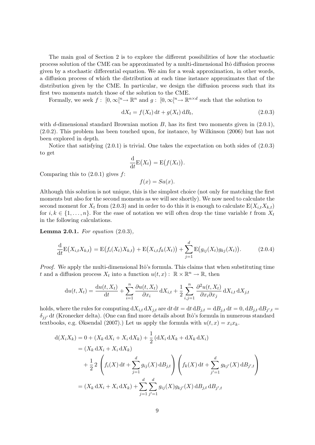The main goal of Section 2 is to explore the different possibilities of how the stochastic process solution of the CME can be approximated by a multi-dimensional Itô diffusion process given by a stochastic differential equation. We aim for a weak approximation, in other words, a diffusion process of which the distribution at each time instance approximates that of the distribution given by the CME. In particular, we design the diffusion process such that its first two moments match those of the solution to the CME.

Formally, we seek  $f: [0,\infty]^n \to \mathbb{R}^n$  and  $g: [0,\infty]^n \to \mathbb{R}^{n \times d}$  such that the solution to

$$
dX_t = f(X_t) dt + g(X_t) dB_t,
$$
\n(2.0.3)

with d-dimensional standard Brownian motion  $B$ , has its first two moments given in  $(2.0.1)$ , (2.0.2). This problem has been touched upon, for instance, by Wilkinson (2006) but has not been explored in depth.

Notice that satisfying (2.0.1) is trivial. One takes the expectation on both sides of (2.0.3) to get

$$
\frac{\mathrm{d}}{\mathrm{d}t} \mathrm{E}(X_t) = \mathrm{E}\big(f(X_t)\big).
$$

Comparing this to  $(2.0.1)$  gives  $f$ :

 $f(x) = Sa(x).$ 

Although this solution is not unique, this is the simplest choice (not only for matching the first moments but also for the second moments as we will see shortly). We now need to calculate the second moment for  $X_t$  from (2.0.3) and in order to do this it is enough to calculate  $E(X_{i,t}X_{k,t})$ for  $i, k \in \{1, \ldots, n\}$ . For the ease of notation we will often drop the time variable t from  $X_t$ in the following calculations.

**Lemma 2.0.1.** For equation  $(2.0.3)$ ,

$$
\frac{\mathrm{d}}{\mathrm{d}t} \mathrm{E}(X_{i,t} X_{k,t}) = \mathrm{E}(f_i(X_t) X_{k,t}) + \mathrm{E}(X_{i,t} f_k(X_t)) + \sum_{j=1}^d \mathrm{E}(g_{ij}(X_t) g_{kj}(X_t)). \tag{2.0.4}
$$

*Proof.* We apply the multi-dimensional Itô's formula. This claims that when substituting time t and a diffusion process  $X_t$  into a function  $u(t, x) : \mathbb{R} \times \mathbb{R}^n \to \mathbb{R}$ , then

$$
\mathrm{d}u(t, X_t) = \frac{\mathrm{d}u(t, X_t)}{\mathrm{d}t} + \sum_{i=1}^n \frac{\partial u(t, X_t)}{\partial x_i} \, \mathrm{d}X_{i,t} + \frac{1}{2} \sum_{i,j=1}^n \frac{\partial^2 u(t, X_t)}{\partial x_i \partial x_j} \, \mathrm{d}X_{i,t} \, \mathrm{d}X_{j,t}
$$

holds, where the rules for computing  $dX_{i,t} dX_{j,t}$  are  $dt dt = dt dB_{j,t} = dB_{j,t} dt = 0$ ,  $dB_{j,t} dB_{j',t} =$  $\delta_{ii'}$  dt (Kronecker delta). (One can find more details about Itô's formula in numerous standard textbooks, e.g. Øksendal (2007).) Let us apply the formula with  $u(t, x) = x_i x_k$ .

$$
d(X_i X_k) = 0 + (X_k dX_i + X_i dX_k) + \frac{1}{2} (dX_i dX_k + dX_k dX_i)
$$
  
=  $(X_k dX_i + X_i dX_k)$   
+  $\frac{1}{2} 2 \left( f_i(X) dt + \sum_{j=1}^d g_{ij}(X) dB_{j,t} \right) \left( f_k(X) dt + \sum_{j'=1}^d g_{kj'}(X) dB_{j',t} \right)$   
=  $(X_k dX_i + X_i dX_k) + \sum_{j=1}^d \sum_{j'=1}^d g_{ij}(X) g_{kj'}(X) dB_{j,t} dB_{j',t}$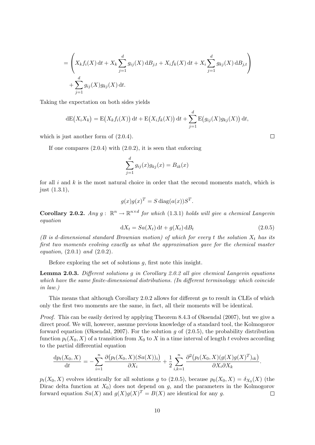$$
= \left( X_k f_i(X) dt + X_k \sum_{j=1}^d g_{ij}(X) dB_{j,t} + X_i f_k(X) dt + X_i \sum_{j=1}^d g_{kj}(X) dB_{j,t} \right) + \sum_{j=1}^d g_{ij}(X) g_{kj}(X) dt.
$$

Taking the expectation on both sides yields

$$
dE(X_iX_k) = E(X_kf_i(X)) dt + E(X_if_k(X)) dt + \sum_{j=1}^d E(g_{ij}(X)g_{kj}(X)) dt,
$$

which is just another form of  $(2.0.4)$ .

If one compares  $(2.0.4)$  with  $(2.0.2)$ , it is seen that enforcing

$$
\sum_{j=1}^{d} g_{ij}(x)g_{kj}(x) = B_{ik}(x)
$$

for all  $i$  and  $k$  is the most natural choice in order that the second moments match, which is just (1.3.1),

$$
g(x)g(x)^T = S \operatorname{diag}(a(x))S^T.
$$

**Corollary 2.0.2.** Any  $g: \mathbb{R}^n \to \mathbb{R}^{n \times d}$  for which (1.3.1) holds will give a chemical Langevin equation

$$
dX_t = Sa(X_t) dt + g(X_t) dB_t
$$
\n(2.0.5)

(B is d-dimensional standard Brownian motion) of which for every t the solution  $X_t$  has its first two moments evolving exactly as what the approximation gave for the chemical master equation,  $(2.0.1)$  and  $(2.0.2)$ .

Before exploring the set of solutions  $g$ , first note this insight.

Lemma 2.0.3. Different solutions g in Corollary 2.0.2 all give chemical Langevin equations which have the same finite-dimensional distributions. (In different terminology: which coincide in law.)

This means that although Corollary 2.0.2 allows for different gs to result in CLEs of which only the first two moments are the same, in fact, all their moments will be identical.

*Proof.* This can be easily derived by applying Theorem 8.4.3 of Øksendal (2007), but we give a direct proof. We will, however, assume previous knowledge of a standard tool, the Kolmogorov forward equation (Øksendal, 2007). For the solution g of  $(2.0.5)$ , the probability distribution function  $p_t(X_0, X)$  of a transition from  $X_0$  to X in a time interval of length t evolves according to the partial differential equation

$$
\frac{dp_t(X_0, X)}{dt} = -\sum_{i=1}^n \frac{\partial (p_t(X_0, X)(Sa(X))_i)}{\partial X_i} + \frac{1}{2} \sum_{i,k=1}^n \frac{\partial^2 (p_t(X_0, X)(g(X)g(X)^T)_{ik})}{\partial X_i \partial X_k}.
$$

 $p_t(X_0, X)$  evolves identically for all solutions g to (2.0.5), because  $p_0(X_0, X) = \delta_{X_0}(X)$  (the Dirac delta function at  $X_0$  does not depend on g, and the parameters in the Kolmogorov forward equation  $Sa(X)$  and  $g(X)g(X)^{T} = B(X)$  are identical for any g.  $\Box$ 

 $\Box$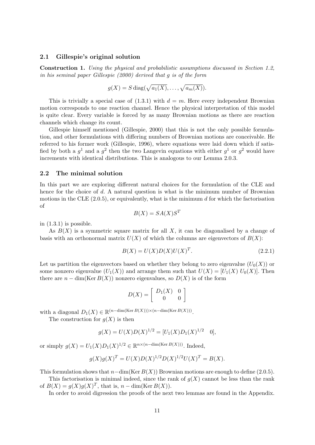#### 2.1 Gillespie's original solution

Construction 1. Using the physical and probabilistic assumptions discussed in Section 1.2, in his seminal paper Gillespie (2000) derived that g is of the form

$$
g(X) = S \operatorname{diag}(\sqrt{a_1(X)}, \ldots, \sqrt{a_m(X)}).
$$

This is trivially a special case of  $(1.3.1)$  with  $d = m$ . Here every independent Brownian motion corresponds to one reaction channel. Hence the physical interpretation of this model is quite clear. Every variable is forced by as many Brownian motions as there are reaction channels which change its count.

Gillespie himself mentioned (Gillespie, 2000) that this is not the only possible formulation, and other formulations with differing numbers of Brownian motions are conceivable. He referred to his former work (Gillespie, 1996), where equations were laid down which if satisfied by both a  $g^1$  and a  $g^2$  then the two Langevin equations with either  $g^1$  or  $g^2$  would have increments with identical distributions. This is analogous to our Lemma 2.0.3.

#### 2.2 The minimal solution

In this part we are exploring different natural choices for the formulation of the CLE and hence for the choice of d. A natural question is what is the minimum number of Brownian motions in the CLE  $(2.0.5)$ , or equivalently, what is the minimum d for which the factorisation of

$$
B(X) = SA(X)S^T
$$

in  $(1.3.1)$  is possible.

As  $B(X)$  is a symmetric square matrix for all X, it can be diagonalised by a change of basis with an orthonormal matrix  $U(X)$  of which the columns are eigenvectors of  $B(X)$ :

$$
B(X) = U(X)D(X)U(X)^{T}.
$$
\n(2.2.1)

Let us partition the eigenvectors based on whether they belong to zero eigenvalue  $(U_0(X))$  or some nonzero eigenvalue  $(U_1(X))$  and arrange them such that  $U(X) = [U_1(X) U_0(X)]$ . Then there are  $n - \dim(\text{Ker } B(X))$  nonzero eigenvalues, so  $D(X)$  is of the form

$$
D(X) = \left[ \begin{array}{cc} D_1(X) & 0 \\ 0 & 0 \end{array} \right]
$$

with a diagonal  $D_1(X) \in \mathbb{R}^{(n-\dim(\text{Ker }B(X))) \times (n-\dim(\text{Ker }B(X)))}$ .

The construction for  $g(X)$  is then

$$
g(X) = U(X)D(X)^{1/2} = [U_1(X)D_1(X)^{1/2} \quad 0],
$$

or simply  $g(X) = U_1(X)D_1(X)^{1/2} \in \mathbb{R}^{n \times (n-\dim(\text{Ker }B(X)))}$ . Indeed,

$$
g(X)g(X)^{T} = U(X)D(X)^{1/2}D(X)^{1/2}U(X)^{T} = B(X).
$$

This formulation shows that  $n-\dim(\text{Ker }B(X))$  Brownian motions are enough to define (2.0.5).

This factorisation is minimal indeed, since the rank of  $g(X)$  cannot be less than the rank of  $B(X) = g(X)g(X)^{T}$ , that is,  $n - \dim(\text{Ker } B(X))$ .

In order to avoid digression the proofs of the next two lemmas are found in the Appendix.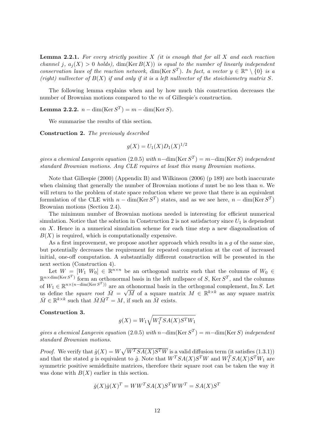**Lemma 2.2.1.** For every strictly positive  $X$  (it is enough that for all  $X$  and each reaction channel j,  $a_i(X) > 0$  holds), dim(Ker  $B(X)$ ) is equal to the number of linearly independent conservation laws of the reaction network,  $\dim(\text{Ker } S^T)$ . In fact, a vector  $y \in \mathbb{R}^n \setminus \{0\}$  is a (right) nullvector of  $B(X)$  if and only if it is a left nullvector of the stoichiometry matrix S.

The following lemma explains when and by how much this construction decreases the number of Brownian motions compared to the m of Gillespie's construction.

**Lemma 2.2.2.**  $n - \dim(\text{Ker } S^T) = m - \dim(\text{Ker } S)$ .

We summarise the results of this section.

Construction 2. The previously described

$$
g(X) = U_1(X)D_1(X)^{1/2}
$$

gives a chemical Langevin equation (2.0.5) with  $n-\dim(\text{Ker }S^T) = m-\dim(\text{Ker }S)$  independent standard Brownian motions. Any CLE requires at least this many Brownian motions.

Note that Gillespie (2000) (Appendix B) and Wilkinson (2006) (p 189) are both inaccurate when claiming that generally the number of Brownian motions  $d$  must be no less than  $n$ . We will return to the problem of state space reduction where we prove that there is an equivalent formulation of the CLE with  $n - \dim(\text{Ker } S^T)$  states, and as we see here,  $n - \dim(\text{Ker } S^T)$ Brownian motions (Section 2.4).

The minimum number of Brownian motions needed is interesting for efficient numerical simulation. Notice that the solution in Construction 2 is not satisfactory since  $U_1$  is dependent on X. Hence in a numerical simulation scheme for each time step a new diagonalisation of  $B(X)$  is required, which is computationally expensive.

As a first improvement, we propose another approach which results in a  $q$  of the same size, but potentially decreases the requirement for repeated computation at the cost of increased initial, one-off computation. A substantially different construction will be presented in the next section (Construction 4).

Let  $W = [W_1 \ W_0] \in \mathbb{R}^{n \times n}$  be an orthogonal matrix such that the columns of  $W_0 \in$  $\mathbb{R}^{n \times \dim(\text{Ker } S^T)}$  form an orthonormal basis in the left nullspace of S, Ker  $S^T$ , and the columns of  $W_1 \in \mathbb{R}^{n \times (n-\dim(\text{Ker } S^T))}$  are an othonormal basis in the orthogonal complement, Im S. Let us define the *square root*  $\overline{M} = \sqrt{M}$  of a square matrix  $M \in \mathbb{R}^{k \times k}$  as any square matrix  $\bar{M} \in \mathbb{R}^{k \times k}$  such that  $\bar{M}\bar{M}^T = M$ , if such an  $\bar{M}$  exists.

#### Construction 3.

$$
g(X) = W_1 \sqrt{W_1^T S A(X) S^T W_1}
$$

gives a chemical Langevin equation (2.0.5) with  $n-\dim(\text{Ker }S^T) = m-\dim(\text{Ker }S)$  independent standard Brownian motions.

*Proof.* We verify that  $\hat{g}(X) = W\sqrt{W^{T}SA(X)S^{T}W}$  is a valid diffusion term (it satisfies (1.3.1)) and that the stated g is equivalent to  $\hat{g}$ . Note that  $W<sup>T</sup>SA(X)S<sup>T</sup>W$  and  $W<sub>1</sub><sup>T</sup>SA(X)S<sup>T</sup>W<sub>1</sub>$  are symmetric positive semidefinite matrices, therefore their square root can be taken the way it was done with  $B(X)$  earlier in this section.

$$
\hat{g}(X)\hat{g}(X)^{T} = WW^{T}SA(X)S^{T}WW^{T} = SA(X)S^{T}
$$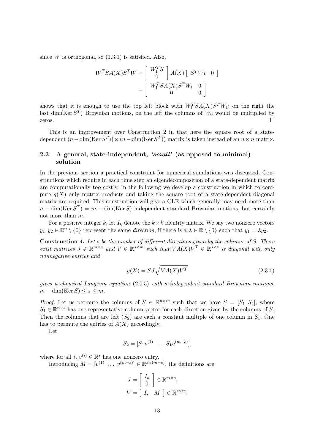since  $W$  is orthogonal, so  $(1.3.1)$  is satisfied. Also,

$$
W^{T}SA(X)S^{T}W = \begin{bmatrix} W_{1}^{T}S \\ 0 \end{bmatrix} A(X) \begin{bmatrix} S^{T}W_{1} & 0 \end{bmatrix}
$$

$$
= \begin{bmatrix} W_{1}^{T}SA(X)S^{T}W_{1} & 0 \\ 0 & 0 \end{bmatrix}
$$

shows that it is enough to use the top left block with  $W_1^T SA(X)S^T W_1$ : on the right the last dim(Ker  $S^T$ ) Brownian motions, on the left the columns of  $W_0$  would be multiplied by zeros.  $\Box$ 

This is an improvement over Construction 2 in that here the square root of a statedependent  $(n - \dim(\text{Ker } S^T)) \times (n - \dim(\text{Ker } S^T))$  matrix is taken instead of an  $n \times n$  matrix.

## 2.3 A general, state-independent, 'small' (as opposed to minimal) solution

In the previous section a practical constraint for numerical simulations was discussed. Constructions which require in each time step an eigendecomposition of a state-dependent matrix are computationally too costly. In the following we develop a construction in which to compute  $g(X)$  only matrix products and taking the square root of a state-dependent diagonal matrix are required. This construction will give a CLE which generally may need more than  $n - \dim(\text{Ker } S^T) = m - \dim(\text{Ker } S)$  independent standard Brownian motions, but certainly not more than m.

For a positive integer k, let  $I_k$  denote the  $k \times k$  identity matrix. We say two nonzero vectors  $y_1, y_2 \in \mathbb{R}^n \setminus \{0\}$  represent the same direction, if there is a  $\lambda \in \mathbb{R} \setminus \{0\}$  such that  $y_1 = \lambda y_2$ .

Construction 4. Let s be the number of different directions given by the columns of S. There exist matrices  $J \in \mathbb{R}^{m \times s}$  and  $V \in \mathbb{R}^{s \times m}$  such that  $VA(X)V^T \in \mathbb{R}^{s \times s}$  is diagonal with only nonnegative entries and

$$
g(X) = SJ\sqrt{VA(X)V^T}
$$
\n(2.3.1)

gives a chemical Langevin equation (2.0.5) with s independent standard Brownian motions,  $m - \dim(\text{Ker } S) \leq s \leq m$ .

*Proof.* Let us permute the columns of  $S \in \mathbb{R}^{n \times m}$  such that we have  $S = [S_1 \ S_2]$ , where  $S_1 \in \mathbb{R}^{n \times s}$  has one representative column vector for each direction given by the columns of S. Then the columns that are left  $(S_2)$  are each a constant multiple of one column in  $S_1$ . One has to permute the entries of  $A(X)$  accordingly.

Let

$$
S_2 = [S_1 v^{(1)} \dots S_1 v^{(m-s)}],
$$

where for all  $i, v^{(i)} \in \mathbb{R}^s$  has one nonzero entry.

Introducing  $M = [v^{(1)} \dots v^{(m-s)}] \in \mathbb{R}^{s \times (m-s)}$ , the definitions are

$$
J = \begin{bmatrix} I_s \\ 0 \end{bmatrix} \in \mathbb{R}^{m \times s},
$$
  

$$
V = \begin{bmatrix} I_s & M \end{bmatrix} \in \mathbb{R}^{s \times m}.
$$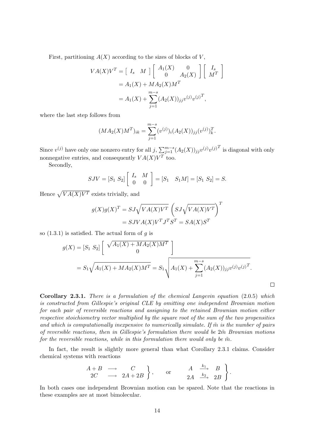First, partitioning  $A(X)$  according to the sizes of blocks of V,

$$
VA(X)V^{T} = \begin{bmatrix} I_s & M \end{bmatrix} \begin{bmatrix} A_1(X) & 0 \\ 0 & A_2(X) \end{bmatrix} \begin{bmatrix} I_s \\ M^T \end{bmatrix}
$$
  
=  $A_1(X) + MA_2(X)M^T$   
=  $A_1(X) + \sum_{j=1}^{m-s} (A_2(X))_{jj} v^{(j)} v^{(j)^T},$ 

where the last step follows from

$$
(MA_2(X)M^T)_{ik} = \sum_{j=1}^{m-s} (v^{(j)})_i (A_2(X))_{jj} (v^{(j)})_k^T.
$$

Since  $v^{(j)}$  have only one nonzero entry for all  $j$ ,  $\sum_{j=1}^{m-s} (A_2(X))_{jj} v^{(j)} v^{(j)}^T$  is diagonal with only nonnegative entries, and consequently  $VA(X)V^T$  too.

Secondly,

$$
SJV = [S_1 \ S_2] \left[ \begin{array}{cc} I_s & M \\ 0 & 0 \end{array} \right] = [S_1 \ S_1 M] = [S_1 \ S_2] = S.
$$

Hence  $\sqrt{VA(X)V^T}$  exists trivially, and

$$
g(X)g(X)^{T} = SJ\sqrt{VA(X)V^{T}} \left(SJ\sqrt{VA(X)V^{T}}\right)^{T}
$$

$$
= SYVA(X)V^{T}J^{T}S^{T} = SA(X)S^{T}
$$

so  $(1.3.1)$  is satisfied. The actual form of g is

$$
g(X) = [S_1 \ S_2] \left[ \begin{array}{c} \sqrt{A_1(X) + M A_2(X) M^T} \\ 0 \end{array} \right]
$$
  
=  $S_1 \sqrt{A_1(X) + M A_2(X) M^T} = S_1 \sqrt{A_1(X) + \sum_{j=1}^{m-s} (A_2(X))_{jj} v^{(j)} v^{(j)T}}.$ 

 $\Box$ 

Corollary 2.3.1. There is a formulation of the chemical Langevin equation (2.0.5) which is constructed from Gillespie's original CLE by omitting one independent Brownian motion for each pair of reversible reactions and assigning to the retained Brownian motion either respective stoichiometry vector multiplied by the square root of the sum of the two propensities and which is computationally inexpensive to numerically simulate. If  $\tilde{m}$  is the number of pairs of reversible reactions, then in Gillespie's formulation there would be  $2m$  Brownian motions for the reversible reactions, while in this formulation there would only be  $\tilde{m}$ .

In fact, the result is slightly more general than what Corollary 2.3.1 claims. Consider chemical systems with reactions

$$
\begin{array}{ccc}\nA+B & \longrightarrow & C \\
2C & \longrightarrow & 2A+2B\n\end{array}\n\bigg\}, \quad \text{or} \quad \begin{array}{ccc}\nA & \xrightarrow{k_1} & B \\
2A & \xrightarrow{k_2} & 2B\n\end{array}\n\bigg\}.
$$

In both cases one independent Brownian motion can be spared. Note that the reactions in these examples are at most bimolecular.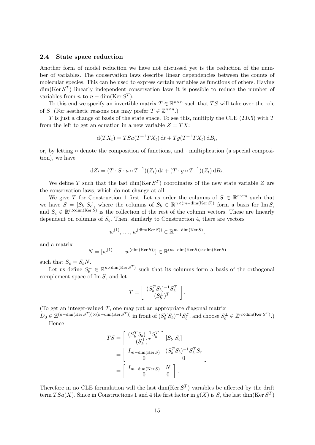#### 2.4 State space reduction

Another form of model reduction we have not discussed yet is the reduction of the number of variables. The conservation laws describe linear dependencies between the counts of molecular species. This can be used to express certain variables as functions of others. Having  $\dim(\text{Ker } S^T)$  linearly independent conservation laws it is possible to reduce the number of variables from *n* to  $n - \dim(\text{Ker } S^T)$ .

To this end we specify an invertible matrix  $T \in \mathbb{R}^{n \times n}$  such that TS will take over the role of S. (For aesthetic reasons one may prefer  $T \in \mathbb{Z}^{n \times n}$ .)

 $T$  is just a change of basis of the state space. To see this, multiply the CLE (2.0.5) with  $T$ from the left to get an equation in a new variable  $Z = TX$ :

$$
d(TX_t) = TSa(T^{-1}TX_t) dt + Tg(T^{-1}TX_t) dB_t,
$$

or, by letting ◦ denote the composition of functions, and · multiplication (a special composition), we have

$$
dZ_t = (T \cdot S \cdot a \circ T^{-1})(Z_t) dt + (T \cdot g \circ T^{-1})(Z_t) dB_t.
$$

We define T such that the last  $\dim(\text{Ker } S^T)$  coordinates of the new state variable Z are the conservation laws, which do not change at all.

We give T for Construction 1 first. Let us order the columns of  $S \in \mathbb{R}^{n \times m}$  such that we have  $S = [S_b S_c]$ , where the columns of  $S_b \in \mathbb{R}^{n \times (m-\dim(\text{Ker }S))}$  form a basis for Im S, and  $S_c \in \mathbb{R}^{n \times \dim(\text{Ker } S)}$  is the collection of the rest of the column vectors. These are linearly dependent on columns of  $S_b$ . Then, similarly to Construction 4, there are vectors

$$
w^{(1)}, \dots, w^{(\dim(\text{Ker }S))} \in \mathbb{R}^{m-\dim(\text{Ker }S)},
$$

and a matrix

$$
N = [w^{(1)} \ \dots \ w^{(\dim(\text{Ker } S))}] \in \mathbb{R}^{(m - \dim(\text{Ker } S)) \times \dim(\text{Ker } S)}
$$

such that  $S_c = S_b N$ .

Let us define  $S_b^{\perp} \in \mathbb{R}^{n \times \dim(\text{Ker } S^T)}$  such that its columns form a basis of the orthogonal complement space of Im S, and let

$$
T = \left[ \begin{array}{c} (S_b^T S_b)^{-1} S_b^T \\ (S_b^{\perp})^T \end{array} \right].
$$

(To get an integer-valued  $T$ , one may put an appropriate diagonal matrix

 $D_0 \in \mathbb{Z}^{(n-\dim(\text{Ker } S^T))\times(n-\dim(\text{Ker } S^T))}$  in front of  $(S_b^T S_b)^{-1} S_b^T$ , and choose  $S_b^{\perp} \in \mathbb{Z}^{n \times \dim(\text{Ker } S^T)}$ .) Hence

$$
TS = \begin{bmatrix} (S_b^T S_b)^{-1} S_b^T \\ (S_b^{\perp})^T \end{bmatrix} [S_b S_c]
$$
  
= 
$$
\begin{bmatrix} I_{m-\dim(\text{Ker } S)} & (S_b^T S_b)^{-1} S_b^T S_c \\ 0 & 0 \end{bmatrix}
$$
  
= 
$$
\begin{bmatrix} I_{m-\dim(\text{Ker } S)} & N \\ 0 & 0 \end{bmatrix}.
$$

Therefore in no CLE formulation will the last  $\dim(\text{Ker } S^T)$  variables be affected by the drift term  $TSa(X)$ . Since in Constructions 1 and 4 the first factor in  $g(X)$  is S, the last dim(Ker  $S<sup>T</sup>$ )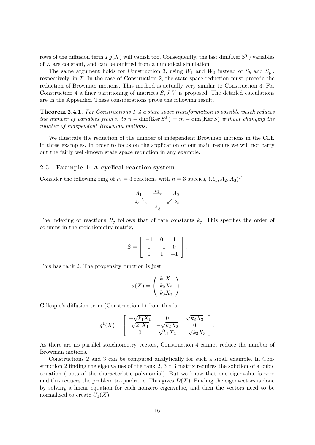rows of the diffusion term  $Tg(X)$  will vanish too. Consequently, the last dim(Ker  $S^T$ ) variables of Z are constant, and can be omitted from a numerical simulation.

The same argument holds for Construction 3, using  $W_1$  and  $W_0$  instead of  $S_b$  and  $S_b^{\perp}$ , respectively, in T. In the case of Construction 2, the state space reduction must precede the reduction of Brownian motions. This method is actually very similar to Construction 3. For Construction 4 a finer partitioning of matrices  $S, J, V$  is proposed. The detailed calculations are in the Appendix. These considerations prove the following result.

**Theorem 2.4.1.** For Constructions  $1-\frac{1}{4}$  a state space transformation is possible which reduces the number of variables from n to  $n - \dim(\text{Ker } S^T) = m - \dim(\text{Ker } S)$  without changing the number of independent Brownian motions.

We illustrate the reduction of the number of independent Brownian motions in the CLE in three examples. In order to focus on the application of our main results we will not carry out the fairly well-known state space reduction in any example.

#### 2.5 Example 1: A cyclical reaction system

Consider the following ring of  $m = 3$  reactions with  $n = 3$  species,  $(A_1, A_2, A_3)^T$ :

$$
A_1 \xrightarrow{k_1} A_2
$$
  

$$
k_3 \searrow A_3
$$
  

$$
A_3
$$

The indexing of reactions  $R_i$  follows that of rate constants  $k_i$ . This specifies the order of columns in the stoichiometry matrix,

$$
S = \left[ \begin{array}{rrr} -1 & 0 & 1 \\ 1 & -1 & 0 \\ 0 & 1 & -1 \end{array} \right].
$$

This has rank 2. The propensity function is just

$$
a(X) = \left(\begin{array}{c} k_1 X_1 \\ k_2 X_2 \\ k_3 X_3 \end{array}\right).
$$

Gillespie's diffusion term (Construction 1) from this is

$$
g^{1}(X) = \begin{bmatrix} -\sqrt{k_{1}X_{1}} & 0 & \sqrt{k_{3}X_{3}} \\ \sqrt{k_{1}X_{1}} & -\sqrt{k_{2}X_{2}} & 0 \\ 0 & \sqrt{k_{2}X_{2}} & -\sqrt{k_{3}X_{3}} \end{bmatrix}.
$$

As there are no parallel stoichiometry vectors, Construction 4 cannot reduce the number of Brownian motions.

Constructions 2 and 3 can be computed analytically for such a small example. In Construction 2 finding the eigenvalues of the rank 2,  $3 \times 3$  matrix requires the solution of a cubic equation (roots of the characteristic polynomial). But we know that one eigenvalue is zero and this reduces the problem to quadratic. This gives  $D(X)$ . Finding the eigenvectors is done by solving a linear equation for each nonzero eigenvalue, and then the vectors need to be normalised to create  $U_1(X)$ .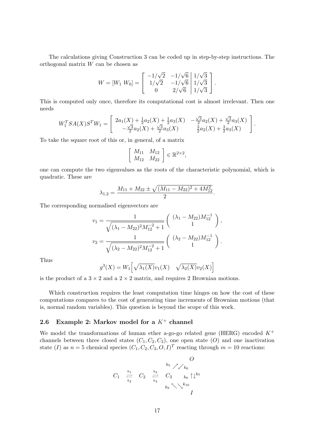The calculations giving Construction 3 can be coded up in step-by-step instructions. The orthogonal matrix W can be chosen as

$$
W = [W_1 \ W_0] = \begin{bmatrix} -1/\sqrt{2} & -1/\sqrt{6} & 1/\sqrt{3} \\ 1/\sqrt{2} & -1/\sqrt{6} & 1/\sqrt{3} \\ 0 & 2/\sqrt{6} & 1/\sqrt{3} \end{bmatrix}.
$$

This is computed only once, therefore its computational cost is almost irrelevant. Then one needs

$$
W_1^T SA(X)S^T W_1 = \begin{bmatrix} 2a_1(X) + \frac{1}{2}a_2(X) + \frac{1}{2}a_3(X) & -\frac{\sqrt{3}}{2}a_2(X) + \frac{\sqrt{3}}{2}a_3(X) \\ -\frac{\sqrt{3}}{2}a_2(X) + \frac{\sqrt{3}}{2}a_3(X) & \frac{3}{2}a_2(X) + \frac{3}{2}a_3(X) \end{bmatrix}.
$$

To take the square root of this or, in general, of a matrix

$$
\left[\begin{array}{cc} M_{11} & M_{12} \\ M_{12} & M_{22} \end{array}\right] \in \mathbb{R}^{2 \times 2},
$$

one can compute the two eigenvalues as the roots of the characteristic polynomial, which is quadratic. These are

$$
\lambda_{1,2} = \frac{M_{11} + M_{22} \pm \sqrt{(M_{11} - M_{22})^2 + 4M_{12}^2}}{2}.
$$

The corresponding normalised eigenvectors are

$$
v_1 = \frac{1}{\sqrt{(\lambda_1 - M_{22})^2 M_{12}^{-2} + 1}} \left( \begin{array}{c} (\lambda_1 - M_{22}) M_{12}^{-1} \\ 1 \end{array} \right),
$$
  

$$
v_2 = \frac{1}{\sqrt{(\lambda_2 - M_{22})^2 M_{12}^{-2} + 1}} \left( \begin{array}{c} (\lambda_2 - M_{22}) M_{12}^{-1} \\ 1 \end{array} \right).
$$

Thus

$$
g^{3}(X) = W_1\left[\sqrt{\lambda_1(X)}v_1(X) \quad \sqrt{\lambda_2(X)}v_2(X)\right]
$$

is the product of a  $3 \times 2$  and a  $2 \times 2$  matrix, and requires 2 Brownian motions.

Which construction requires the least computation time hinges on how the cost of these computations compares to the cost of generating time increments of Brownian motions (that is, normal random variables). This question is beyond the scope of this work.

## 2.6 Example 2: Markov model for a  $K^+$  channel

We model the transformations of human ether a-go-go related gene (HERG) encoded  $K^+$ channels between three closed states  $(C_1, C_2, C_3)$ , one open state  $(O)$  and one inactivation state (I) as  $n = 5$  chemical species  $(C_1, C_2, C_3, O, I)^T$  reacting through  $m = 10$  reactions:

$$
C_1 \stackrel{k_1}{\underset{k_2}{\rightleftharpoons}} C_2 \stackrel{k_3}{\underset{k_4}{\rightleftharpoons}} C_3 \stackrel{k_5}{\underset{k_8}{\rightleftharpoons}} \stackrel{O}{\underset{k_6}{\rightleftharpoons}} C_1
$$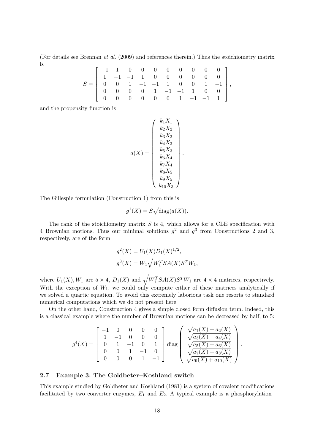(For details see Brennan et al. (2009) and references therein.) Thus the stoichiometry matrix is

$$
S = \left[ \begin{array}{rrrrrrrr} -1 & 1 & 0 & 0 & 0 & 0 & 0 & 0 & 0 & 0 \\ 1 & -1 & -1 & 1 & 0 & 0 & 0 & 0 & 0 & 0 \\ 0 & 0 & 1 & -1 & -1 & 1 & 0 & 0 & 1 & -1 \\ 0 & 0 & 0 & 0 & 1 & -1 & -1 & 1 & 0 & 0 \\ 0 & 0 & 0 & 0 & 0 & 0 & 1 & -1 & -1 & 1 \end{array} \right],
$$

and the propensity function is

$$
a(X) = \begin{pmatrix} k_1 X_1 \\ k_2 X_2 \\ k_3 X_2 \\ k_4 X_3 \\ k_5 X_3 \\ k_6 X_4 \\ k_7 X_4 \\ k_8 X_5 \\ k_9 X_5 \\ k_1 0 X_3 \end{pmatrix}
$$

.

The Gillespie formulation (Construction 1) from this is

$$
g^1(X) = S\sqrt{\text{diag}(a(X))}.
$$

The rank of the stoichiometry matrix  $S$  is 4, which allows for a CLE specification with 4 Brownian motions. Thus our minimal solutions  $g^2$  and  $g^3$  from Constructions 2 and 3, respectively, are of the form

$$
g^{2}(X) = U_{1}(X)D_{1}(X)^{1/2},
$$
  

$$
g^{3}(X) = W_{1}\sqrt{W_{1}^{T}SA(X)S^{T}W_{1}},
$$

where  $U_1(X), W_1$  are  $5 \times 4$ ,  $D_1(X)$  and  $\sqrt{W_1^T SA(X)S^T W_1}$  are  $4 \times 4$  matrices, respectively. With the exception of  $W_1$ , we could only compute either of these matrices analytically if we solved a quartic equation. To avoid this extremely laborious task one resorts to standard numerical computations which we do not present here.

On the other hand, Construction 4 gives a simple closed form diffusion term. Indeed, this is a classical example where the number of Brownian motions can be decreased by half, to 5:

$$
g^{4}(X) = \begin{bmatrix} -1 & 0 & 0 & 0 & 0 \ 1 & -1 & 0 & 0 & 0 \ 0 & 1 & -1 & 0 & 1 \ 0 & 0 & 1 & -1 & 0 \ 0 & 0 & 0 & 1 & -1 \ \end{bmatrix} \text{diag} \begin{bmatrix} \sqrt{a_{1}(X) + a_{2}(X)} \\ \sqrt{a_{3}(X) + a_{4}(X)} \\ \sqrt{a_{5}(X) + a_{6}(X)} \\ \sqrt{a_{7}(X) + a_{8}(X)} \\ \sqrt{a_{9}(X) + a_{10}(X)} \end{bmatrix}.
$$

#### 2.7 Example 3: The Goldbeter–Koshland switch

This example studied by Goldbeter and Koshland (1981) is a system of covalent modifications facilitated by two converter enzymes,  $E_1$  and  $E_2$ . A typical example is a phosphorylation–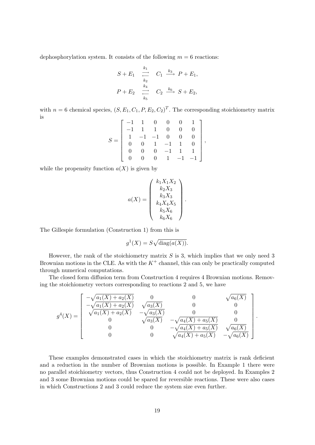dephosphorylation system. It consists of the following  $m = 6$  reactions:

$$
S + E_1 \xrightarrow[k_2]{k_1} C_1 \xrightarrow[k_3]{k_3} P + E_1,
$$
  

$$
P + E_2 \xrightarrow[k_5]{k_4} C_2 \xrightarrow[k_6]{k_6} S + E_2,
$$

with  $n = 6$  chemical species,  $(S, E_1, C_1, P, E_2, C_2)^T$ . The corresponding stoichiometry matrix is

$$
S = \left[ \begin{array}{rrrrrrr} -1 & 1 & 0 & 0 & 0 & 1 \\ -1 & 1 & 1 & 0 & 0 & 0 \\ 1 & -1 & -1 & 0 & 0 & 0 \\ 0 & 0 & 1 & -1 & 1 & 0 \\ 0 & 0 & 0 & -1 & 1 & 1 \\ 0 & 0 & 0 & 1 & -1 & -1 \end{array} \right],
$$

while the propensity function  $a(X)$  is given by

$$
a(X) = \begin{pmatrix} k_1 X_1 X_2 \\ k_2 X_3 \\ k_3 X_3 \\ k_4 X_4 X_5 \\ k_5 X_6 \\ k_6 X_6 \end{pmatrix}.
$$

The Gillespie formulation (Construction 1) from this is

$$
g^1(X) = S\sqrt{\text{diag}(a(X))}.
$$

However, the rank of the stoichiometry matrix  $S$  is 3, which implies that we only need 3 Brownian motions in the CLE. As with the  $K^+$  channel, this can only be practically computed through numerical computations.

The closed form diffusion term from Construction 4 requires 4 Brownian motions. Removing the stoichiometry vectors corresponding to reactions 2 and 5, we have

$$
g^{4}(X) = \begin{bmatrix} -\sqrt{a_{1}(X) + a_{2}(X)} & 0 & 0 & \sqrt{a_{6}(X)} \\ -\sqrt{a_{1}(X) + a_{2}(X)} & \sqrt{a_{3}(X)} & 0 & 0 \\ \sqrt{a_{1}(X) + a_{2}(X)} & -\sqrt{a_{3}(X)} & 0 & 0 \\ 0 & \sqrt{a_{3}(X)} & -\sqrt{a_{4}(X) + a_{5}(X)} & 0 \\ 0 & 0 & -\sqrt{a_{4}(X) + a_{5}(X)} & \sqrt{a_{6}(X)} \\ 0 & 0 & \sqrt{a_{4}(X) + a_{5}(X)} & -\sqrt{a_{6}(X)} \end{bmatrix}
$$

.

These examples demonstrated cases in which the stoichiometry matrix is rank deficient and a reduction in the number of Brownian motions is possible. In Example 1 there were no parallel stoichiometry vectors, thus Construction 4 could not be deployed. In Examples 2 and 3 some Brownian motions could be spared for reversible reactions. These were also cases in which Constructions 2 and 3 could reduce the system size even further.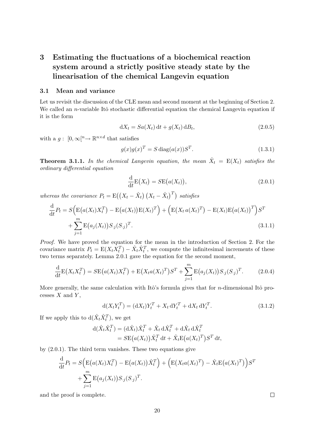## 3 Estimating the fluctuations of a biochemical reaction system around a strictly positive steady state by the linearisation of the chemical Langevin equation

#### 3.1 Mean and variance

Let us revisit the discussion of the CLE mean and second moment at the beginning of Section 2. We called an *n*-variable Itô stochastic differential equation the chemical Langevin equation if it is the form

$$
dX_t = Sa(X_t) dt + g(X_t) dB_t,
$$
\n(2.0.5)

with a  $g: [0, \infty]^n \to \mathbb{R}^{n \times d}$  that satisfies

$$
g(x)g(x)^T = S \operatorname{diag}(a(x))S^T.
$$
\n(1.3.1)

**Theorem 3.1.1.** In the chemical Langevin equation, the mean  $\hat{X}_t = E(X_t)$  satisfies the ordinary differential equation

$$
\frac{\mathrm{d}}{\mathrm{d}t} \mathcal{E}(X_t) = S \mathcal{E}(a(X_t)),\tag{2.0.1}
$$

whereas the covariance  $P_t = \mathrm{E}((X_t - \hat{X}_t) (X_t - \hat{X}_t)^T)$  satisfies

$$
\frac{d}{dt}P_t = S\Big(E\big(a(X_t)X_t^T\big) - E\big(a(X_t)\big)E(X_t)^T\Big) + \Big(E\big(X_t a(X_t)^T\big) - E(X_t)E\big(a(X_t)\big)^T\Big)S^T + \sum_{j=1}^m E\big(a_j(X_t)\big)S_{\cdot j}(S_{\cdot j})^T.
$$
\n(3.1.1)

Proof. We have proved the equation for the mean in the introduction of Section 2. For the covariance matrix  $P_t = \mathbb{E}(X_t \overline{X}_t^T) - \hat{X}_t \hat{X}_t^T$ , we compute the infinitesimal increments of these two terms separately. Lemma 2.0.1 gave the equation for the second moment,

$$
\frac{\mathrm{d}}{\mathrm{d}t} \mathbf{E}(X_t X_t^T) = S \mathbf{E}(a(X_t) X_t^T) + \mathbf{E}(X_t a(X_t)^T) S^T + \sum_{j=1}^m \mathbf{E}(a_j(X_t)) S_{\cdot j} (S_{\cdot j})^T.
$$
 (2.0.4)

More generally, the same calculation with Itô's formula gives that for *n*-dimensional Itô processes  $X$  and  $Y$ ,

$$
d(X_t Y_t^T) = (dX_t) Y_t^T + X_t dY_t^T + dX_t dY_t^T.
$$
\n(3.1.2)

If we apply this to  $d(\hat{X}_t \hat{X}_t^T)$ , we get

$$
d(\hat{X}_t \hat{X}_t^T) = (d\hat{X}_t) \hat{X}_t^T + \hat{X}_t d\hat{X}_t^T + d\hat{X}_t d\hat{X}_t^T
$$
  
= 
$$
S \mathbb{E}(a(X_t)) \hat{X}_t^T dt + \hat{X}_t \mathbb{E}(a(X_t)^T) S^T dt,
$$

by (2.0.1). The third term vanishes. These two equations give

$$
\frac{\mathrm{d}}{\mathrm{d}t}P_t = S\Big(\mathrm{E}\big(a(X_t)X_t^T\big) - \mathrm{E}\big(a(X_t)\big)\hat{X}_t^T\Big) + \Big(\mathrm{E}\big(X_t a(X_t)^T\big) - \hat{X}_t \mathrm{E}\big(a(X_t)^T\big)\Big)S^T
$$
\n
$$
+ \sum_{j=1}^m \mathrm{E}\big(a_j(X_t)\big)S_{\cdot j}(S_{\cdot j})^T.
$$

and the proof is complete.

 $\Box$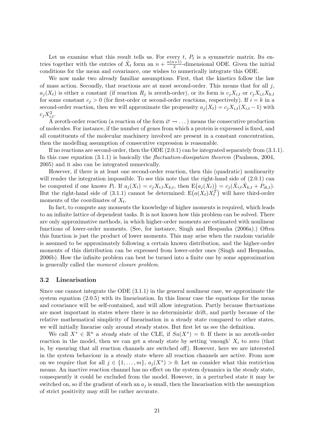Let us examine what this result tells us. For every  $t, P_t$  is a symmetric matrix. Its entries together with the entries of  $\hat{X}_t$  form an  $n + \frac{n(n+1)}{2}$  $\frac{l+1}{2}$ -dimensional ODE. Given the initial conditions for the mean and covariance, one wishes to numerically integrate this ODE.

We now make two already familiar assumptions. First, that the kinetics follow the law of mass action. Secondly, that reactions are at most second-order. This means that for all  $j$ ,  $a_i(X_t)$  is either a constant (if reaction  $R_i$  is zeroth-order), or its form is  $c_iX_{i,t}$  or  $c_iX_{i,t}X_{k,t}$ for some constant  $c_j > 0$  (for first-order or second-order reactions, respectively). If  $i = k$  in a second-order reaction, then we will approximate the propensity  $a_i(X_t) = c_i X_{i,t}(X_{i,t} - 1)$  with  $c_j X_{i,t}^2$ .

A zeroth-order reaction (a reaction of the form  $\varnothing \to \ldots$ ) means the consecutive production of molecules. For instance, if the number of genes from which a protein is expressed is fixed, and all constituents of the molecular machinery involved are present in a constant concentration, then the modelling assumption of consecutive expression is reasonable.

If no reactions are second-order, then the ODE (2.0.1) can be integrated separately from (3.1.1). In this case equation  $(3.1.1)$  is basically the *fluctuation-dissipation theorem* (Paulsson, 2004, 2005) and it also can be integrated numerically.

However, if there is at least one second-order reaction, then this (quadratic) nonlinearity will render the integration impossible. To see this note that the right-hand side of  $(2.0.1)$  can be computed if one knows  $P_t$ . If  $a_j(X_t) = c_j X_{i,t} X_{k,t}$ , then  $E(a_j(X_t)) = c_j(\hat{X}_{i,t} \hat{X}_{k,t} + \hat{P}_{ik,t})$ . But the right-hand side of (3.1.1) cannot be determined:  $E(a(X_t)X_t^T)$  will have third-order moments of the coordinates of  $X_t$ .

In fact, to compute any moments the knowledge of higher moments is required, which leads to an infinite lattice of dependent tasks. It is not known how this problem can be solved. There are only approximative methods, in which higher-order moments are estimated with nonlinear functions of lower-order moments. (See, for instance, Singh and Hespanha (2006a).) Often this function is just the product of lower moments. This may arise when the random variable is assumed to be approximately following a certain known distribution, and the higher-order moments of this distribution can be expressed from lower-order ones (Singh and Hespanha, 2006b). How the infinite problem can best be turned into a finite one by some approximation is generally called the moment closure problem.

#### 3.2 Linearisation

Since one cannot integrate the ODE (3.1.1) in the general nonlinear case, we approximate the system equation (2.0.5) with its linearisation. In this linear case the equations for the mean and covariance will be self-contained, and will allow integration. Partly because fluctuations are most important in states where there is no deterministic drift, and partly because of the relative mathematical simplicity of linearisation in a steady state compared to other states, we will initially linearise only around steady states. But first let us see the definition.

We call  $X^* \in \mathbb{R}^n$  a steady state of the CLE, if  $Sa(X^*) = 0$ . If there is no zeroth-order reaction in the model, then we can get a steady state by setting 'enough'  $X_i$  to zero (that is, by ensuring that all reaction channels are switched off). However, here we are interested in the system behaviour in a steady state where all reaction channels are active. From now on we require that for all  $j \in \{1, \ldots, m\}$ ,  $a_j(X^*) > 0$ . Let us consider what this restriction means. An inactive reaction channel has no effect on the system dynamics in the steady state, consequently it could be excluded from the model. However, in a perturbed state it may be switched on, so if the gradient of such an  $a_j$  is small, then the linearisation with the assumption of strict positivity may still be rather accurate.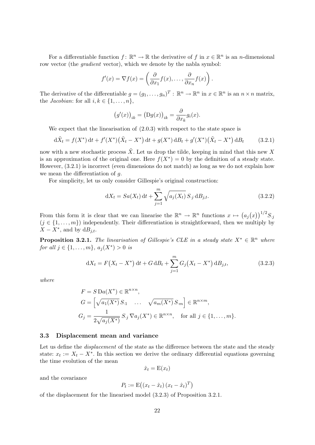For a differentiable function  $f: \mathbb{R}^n \to \mathbb{R}$  the derivative of f in  $x \in \mathbb{R}^n$  is an *n*-dimensional row vector (the *gradient* vector), which we denote by the nabla symbol:

$$
f'(x) = \nabla f(x) = \left(\frac{\partial}{\partial x_1} f(x), \dots, \frac{\partial}{\partial x_n} f(x)\right).
$$

The derivative of the differentiable  $g = (g_1, \ldots, g_n)^T : \mathbb{R}^n \to \mathbb{R}^n$  in  $x \in \mathbb{R}^n$  is an  $n \times n$  matrix, the *Jacobian*: for all  $i, k \in \{1, \ldots, n\},\$ 

$$
(g'(x))_{ik} = (Dg(x))_{ik} = \frac{\partial}{\partial x_k} g_i(x).
$$

We expect that the linearisation of (2.0.3) with respect to the state space is

$$
d\tilde{X}_t = f(X^*) dt + f'(X^*)(\tilde{X}_t - X^*) dt + g(X^*) dB_t + g'(X^*)(\tilde{X}_t - X^*) dB_t
$$
 (3.2.1)

now with a new stochastic process  $\tilde{X}$ . Let us drop the tilde, keeping in mind that this new X is an approximation of the original one. Here  $f(X^*) = 0$  by the definition of a steady state. However, (3.2.1) is incorrect (even dimensions do not match) as long as we do not explain how we mean the differentiation of g.

For simplicity, let us only consider Gillespie's original construction:

$$
dX_t = Sa(X_t) dt + \sum_{j=1}^{m} \sqrt{a_j(X_t)} S_{\cdot j} dB_{j,t}.
$$
 (3.2.2)

From this form it is clear that we can linearise the  $\mathbb{R}^n \to \mathbb{R}^n$  functions  $x \mapsto (a_j(x))^{1/2} S_{j}$  $(j \in \{1, \ldots, m\})$  independently. Their differentiation is straightforward, then we multiply by  $X - X^*$ , and by  $dB_{j,t}$ .

**Proposition 3.2.1.** The linearisation of Gillespie's CLE in a steady state  $X^* \in \mathbb{R}^n$  where for all  $j \in \{1, ..., m\}$ ,  $a_j(X^*) > 0$  is

$$
dX_t = F(X_t - X^*) dt + G dB_t + \sum_{j=1}^{m} G_j (X_t - X^*) dB_{j,t},
$$
\n(3.2.3)

where

$$
F = S \operatorname{Da}(X^*) \in \mathbb{R}^{n \times n},
$$
  
\n
$$
G = \left[ \sqrt{a_1(X^*)} S_{\cdot 1} \quad \dots \quad \sqrt{a_m(X^*)} S_{\cdot m} \right] \in \mathbb{R}^{n \times m},
$$
  
\n
$$
G_j = \frac{1}{2\sqrt{a_j(X^*)}} S_{\cdot j} \nabla a_j(X^*) \in \mathbb{R}^{n \times n}, \quad \text{for all } j \in \{1, \dots, m\}.
$$

#### 3.3 Displacement mean and variance

Let us define the *displacement* of the state as the difference between the state and the steady state:  $x_t := X_t - X^*$ . In this section we derive the ordinary differential equations governing the time evolution of the mean

$$
\hat{x}_t = \mathbf{E}(x_t)
$$

and the covariance

$$
P_t := \mathbf{E}\big((x_t - \hat{x}_t)(x_t - \hat{x}_t)^T\big)
$$

of the displacement for the linearised model (3.2.3) of Proposition 3.2.1.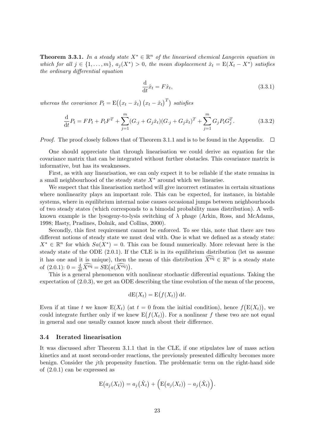**Theorem 3.3.1.** In a steady state  $X^* \in \mathbb{R}^n$  of the linearised chemical Langevin equation in which for all  $j \in \{1, \ldots, m\}$ ,  $a_j(X^*) > 0$ , the mean displacement  $\hat{x}_t = E(X_t - X^*)$  satisfies the ordinary differential equation

$$
\frac{\mathrm{d}}{\mathrm{d}t}\hat{x}_t = F\hat{x}_t,\tag{3.3.1}
$$

whereas the covariance  $P_t = \mathrm{E}((x_t - \hat{x}_t)(x_t - \hat{x}_t)^T)$  satisfies

$$
\frac{\mathrm{d}}{\mathrm{d}t}P_t = FP_t + P_t F^T + \sum_{j=1}^m (G_{\cdot j} + G_j \hat{x}_t)(G_{\cdot j} + G_j \hat{x}_t)^T + \sum_{j=1}^m G_j P_t G_j^T. \tag{3.3.2}
$$

*Proof.* The proof closely follows that of Theorem 3.1.1 and is to be found in the Appendix.  $\square$ 

One should appreciate that through linearisation we could derive an equation for the covariance matrix that can be integrated without further obstacles. This covariance matrix is informative, but has its weaknesses.

First, as with any linearisation, we can only expect it to be reliable if the state remains in a small neighbourhood of the steady state  $X^*$  around which we linearise.

We suspect that this linearisation method will give incorrect estimates in certain situations where nonlinearity plays an important role. This can be expected, for instance, in bistable systems, where in equilibrium internal noise causes occasional jumps between neighbourhoods of two steady states (which corresponds to a bimodal probability mass distribution). A wellknown example is the lysogeny-to-lysis switching of  $\lambda$  phage (Arkin, Ross, and McAdams, 1998; Hasty, Pradines, Dolnik, and Collins, 2000).

Secondly, this first requirement cannot be enforced. To see this, note that there are two different notions of steady state we must deal with. One is what we defined as a steady state:  $X^* \in \mathbb{R}^n$  for which  $Sa(X^*) = 0$ . This can be found numerically. More relevant here is the steady state of the ODE (2.0.1). If the CLE is in its equilibrium distribution (let us assume it has one and it is unique), then the mean of this distribution  $\widehat{X^{eq}} \in \mathbb{R}^n$  is a steady state of  $(2.0.1): 0 = \frac{d}{dt}\widehat{X}^{eq} = SE(a(\widehat{X}^{eq})).$ 

This is a general phenomenon with nonlinear stochastic differential equations. Taking the expectation of (2.0.3), we get an ODE describing the time evolution of the mean of the process,

$$
dE(X_t) = E(f(X_t)) dt.
$$

Even if at time t we know  $E(X_t)$  (at  $t=0$  from the initial condition), hence  $f(E(X_t))$ , we could integrate further only if we knew  $E(f(X_t))$ . For a nonlinear f these two are not equal in general and one usually cannot know much about their difference.

#### 3.4 Iterated linearisation

It was discussed after Theorem 3.1.1 that in the CLE, if one stipulates law of mass action kinetics and at most second-order reactions, the previously presented difficulty becomes more benign. Consider the jth propensity function. The problematic term on the right-hand side of (2.0.1) can be expressed as

$$
E(a_j(X_t)) = a_j(\hat{X}_t) + \Big(E(a_j(X_t)) - a_j(\hat{X}_t)\Big).
$$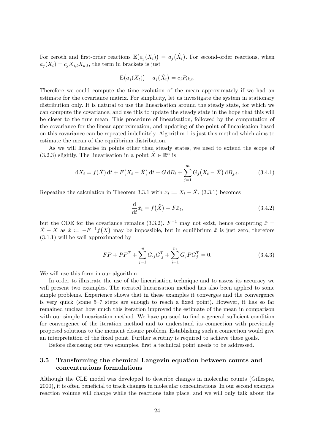For zeroth and first-order reactions  $E(a_j(X_t)) = a_j(\hat{X}_t)$ . For second-order reactions, when  $a_i(X_t) = c_i X_{i,t} X_{k,t}$ , the term in brackets is just

$$
E(a_j(X_t)) - a_j(\hat{X}_t) = c_j P_{ik,t}.
$$

Therefore we could compute the time evolution of the mean approximately if we had an estimate for the covariance matrix. For simplicity, let us investigate the system in stationary distribution only. It is natural to use the linearisation around the steady state, for which we can compute the covariance, and use this to update the steady state in the hope that this will be closer to the true mean. This procedure of linearisation, followed by the computation of the covariance for the linear approximation, and updating of the point of linearisation based on this covariance can be repeated indefinitely. Algorithm 1 is just this method which aims to estimate the mean of the equilibrium distribution.

As we will linearise in points other than steady states, we need to extend the scope of (3.2.3) slightly. The linearisation in a point  $\tilde{X} \in \mathbb{R}^n$  is

$$
dX_t = f(\tilde{X}) dt + F(X_t - \tilde{X}) dt + G dB_t + \sum_{j=1}^m G_j (X_t - \tilde{X}) dB_{j,t}.
$$
 (3.4.1)

Repeating the calculation in Theorem 3.3.1 with  $x_t := X_t - \tilde{X}$ , (3.3.1) becomes

$$
\frac{\mathrm{d}}{\mathrm{d}t}\hat{x}_t = f(\tilde{X}) + F\hat{x}_t,\tag{3.4.2}
$$

but the ODE for the covariance remains (3.3.2).  $F^{-1}$  may not exist, hence computing  $\hat{x} =$  $\hat{X} - \tilde{X}$  as  $\hat{x} := -F^{-1}f(\tilde{X})$  may be impossible, but in equilibrium  $\hat{x}$  is just zero, therefore (3.1.1) will be well approximated by

$$
FP + PF^{T} + \sum_{j=1}^{m} G_{j}G_{j}^{T} + \sum_{j=1}^{m} G_{j}PG_{j}^{T} = 0.
$$
 (3.4.3)

We will use this form in our algorithm.

In order to illustrate the use of the linearisation technique and to assess its accuracy we will present two examples. The iterated linearisation method has also been applied to some simple problems. Experience shows that in these examples it converges and the convergence is very quick (some 5–7 steps are enough to reach a fixed point). However, it has so far remained unclear how much this iteration improved the estimate of the mean in comparison with our simple linearisation method. We have pursued to find a general sufficient condition for convergence of the iteration method and to understand its connection with previously proposed solutions to the moment closure problem. Establishing such a connection would give an interpretation of the fixed point. Further scrutiny is required to achieve these goals.

Before discussing our two examples, first a technical point needs to be addressed.

## 3.5 Transforming the chemical Langevin equation between counts and concentrations formulations

Although the CLE model was developed to describe changes in molecular counts (Gillespie, 2000), it is often beneficial to track changes in molecular concentrations. In our second example reaction volume will change while the reactions take place, and we will only talk about the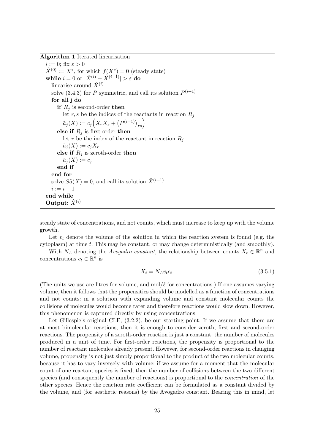Algorithm 1 Iterated linearisation

 $i := 0$ ; fix  $\varepsilon > 0$  $\hat{X}^{(0)} := X^*$ , for which  $f(X^*) = 0$  (steady state) while  $i = 0$  or  $|\hat{X}^{(i)} - \hat{X}^{(i-1)}| > \varepsilon$  do linearise around  $\hat{X}^{(i)}$ solve (3.4.3) for P symmetric, and call its solution  $P^{(i+1)}$ for all j do if  $R_i$  is second-order then let r, s be the indices of the reactants in reaction  $R_j$  $\tilde{a}_j(X) := c_j \Big( X_r X_s + \big( P^{(i+1)} \big)_{rs} \Big)$ else if  $R_j$  is first-order then let r be the index of the reactant in reaction  $R_i$  $\tilde{a}_i(X) := c_i X_r$ else if  $R_j$  is zeroth-order then  $\tilde{a}_j(X) := c_j$ end if end for solve  $S\tilde{a}(X) = 0$ , and call its solution  $\hat{X}^{(i+1)}$  $i := i + 1$ end while Output:  $\hat{X}^{(i)}$ 

steady state of concentrations, and not counts, which must increase to keep up with the volume growth.

Let  $v_t$  denote the volume of the solution in which the reaction system is found (e.g. the cytoplasm) at time t. This may be constant, or may change deterministically (and smoothly).

With  $N_A$  denoting the *Avogadro constant*, the relationship between counts  $X_t \in \mathbb{R}^n$  and concentrations  $c_t \in \mathbb{R}^n$  is

$$
X_t = N_A v_t c_t. \tag{3.5.1}
$$

(The units we use are litres for volume, and  $\text{mol}/\ell$  for concentrations.) If one assumes varying volume, then it follows that the propensities should be modelled as a function of concentrations and not counts: in a solution with expanding volume and constant molecular counts the collisions of molecules would become rarer and therefore reactions would slow down. However, this phenomenon is captured directly by using concentrations.

Let Gillespie's original CLE,  $(3.2.2)$ , be our starting point. If we assume that there are at most bimolecular reactions, then it is enough to consider zeroth, first and second-order reactions. The propensity of a zeroth-order reaction is just a constant: the number of molecules produced in a unit of time. For first-order reactions, the propensity is proportional to the number of reactant molecules already present. However, for second-order reactions in changing volume, propensity is not just simply proportional to the product of the two molecular counts, because it has to vary inversely with volume: if we assume for a moment that the molecular count of one reactant species is fixed, then the number of collisions between the two different species (and consequently the number of reactions) is proportional to the *concentration* of the other species. Hence the reaction rate coefficient can be formulated as a constant divided by the volume, and (for aesthetic reasons) by the Avogadro constant. Bearing this in mind, let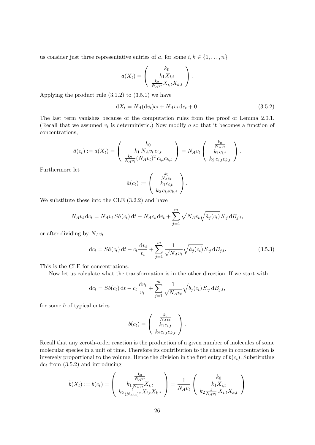us consider just three representative entries of a, for some  $i, k \in \{1, \ldots, n\}$ 

$$
a(X_t) = \begin{pmatrix} k_0 \\ k_1 X_{i,t} \\ \frac{k_2}{N_A v_t} X_{i,t} X_{k,t} \end{pmatrix}.
$$

Applying the product rule  $(3.1.2)$  to  $(3.5.1)$  we have

$$
dX_t = N_A (dv_t)c_t + N_A v_t dc_t + 0.
$$
\n(3.5.2)

The last term vanishes because of the computation rules from the proof of Lemma 2.0.1. (Recall that we assumed  $v_t$  is deterministic.) Now modify a so that it becomes a function of concentrations,

$$
\tilde{a}(c_t) := a(X_t) = \begin{pmatrix} k_0 \\ k_1 \, N_A v_t \, c_{i,t} \\ \frac{k_2}{N_A v_t} (N_A v_t)^2 \, c_{i,t} c_{k,t} \end{pmatrix} = N_A v_t \begin{pmatrix} \frac{k_0}{N_A v_t} \\ k_1 c_{i,t} \\ k_2 c_{i,t} c_{k,t} \end{pmatrix}.
$$

Furthermore let

$$
\hat{a}(c_t) := \begin{pmatrix} \frac{k_0}{N_A v_t} \\ k_1 c_{i,t} \\ k_2 c_{i,t} c_{k,t} \end{pmatrix}.
$$

We substitute these into the CLE (3.2.2) and have

$$
N_A v_t \, \mathrm{d}c_t = N_A v_t \, S \hat{a}(c_t) \, \mathrm{d}t - N_A c_t \, \mathrm{d}v_t + \sum_{j=1}^m \sqrt{N_A v_t} \sqrt{\hat{a}_j(c_t)} \, S_{\cdot j} \, \mathrm{d}B_{j,t},
$$

or after dividing by  $N_Av_t$ 

$$
dc_t = S\hat{a}(c_t) dt - c_t \frac{dv_t}{v_t} + \sum_{j=1}^m \frac{1}{\sqrt{N_A v_t}} \sqrt{\hat{a}_j(c_t)} S_{\cdot j} dB_{j,t}.
$$
 (3.5.3)

This is the CLE for concentrations.

Now let us calculate what the transformation is in the other direction. If we start with

$$
dc_t = Sb(c_t) dt - c_t \frac{dv_t}{v_t} + \sum_{j=1}^m \frac{1}{\sqrt{N_A v_t}} \sqrt{b_j(c_t)} S_{\cdot j} dB_{j,t},
$$

for some b of typical entries

$$
b(c_t) = \begin{pmatrix} \frac{k_0}{N_A v_t} \\ k_1 c_{i,t} \\ k_2 c_{i,t} c_{k,t} \end{pmatrix}.
$$

Recall that any zeroth-order reaction is the production of a given number of molecules of some molecular species in a unit of time. Therefore its contribution to the change in concentration is inversely proportional to the volume. Hence the division in the first entry of  $b(c_t)$ . Substituting  $dc<sub>t</sub>$  from (3.5.2) and introducing

$$
\tilde{b}(X_t) := b(c_t) = \begin{pmatrix} \frac{k_0}{N_A v_t} \\ k_1 \frac{1}{N_A v_t} X_{i,t} \\ k_2 \frac{1}{(N_A v_t)^2} X_{i,t} X_{k,t} \end{pmatrix} = \frac{1}{N_A v_t} \begin{pmatrix} k_0 \\ k_1 X_{i,t} \\ k_2 \frac{1}{N_A v_t} X_{i,t} X_{k,t} \end{pmatrix}
$$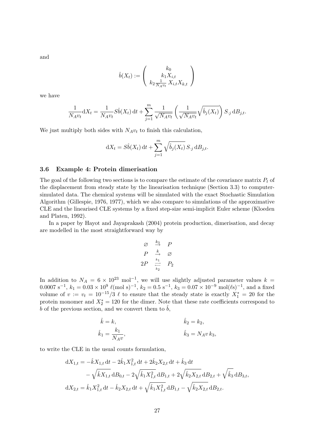and

$$
\hat{b}(X_t) := \begin{pmatrix} k_0 \\ k_1 X_{i,t} \\ k_2 \frac{1}{N_A v_t} X_{i,t} X_{k,t} \end{pmatrix}
$$

we have

$$
\frac{1}{N_A v_t} dX_t = \frac{1}{N_A v_t} S\hat{b}(X_t) dt + \sum_{j=1}^m \frac{1}{\sqrt{N_A v_t}} \left(\frac{1}{\sqrt{N_A v_t}} \sqrt{\hat{b}_j(X_t)}\right) S_{\cdot j} dB_{j,t}.
$$

We just multiply both sides with  $N_Av_t$  to finish this calculation,

$$
dX_t = S\hat{b}(X_t) dt + \sum_{j=1}^m \sqrt{\hat{b}_j(X_t)} S_{\cdot j} dB_{j,t}.
$$

#### 3.6 Example 4: Protein dimerisation

The goal of the following two sections is to compare the estimate of the covariance matrix  $P_t$  of the displacement from steady state by the linearisation technique (Section 3.3) to computersimulated data. The chemical systems will be simulated with the exact Stochastic Simulation Algorithm (Gillespie, 1976, 1977), which we also compare to simulations of the approximative CLE and the linearised CLE systems by a fixed step-size semi-implicit Euler scheme (Kloeden and Platen, 1992).

In a paper by Hayot and Jayaprakash (2004) protein production, dimerisation, and decay are modelled in the most straightforward way by

$$
\begin{array}{rcl}\n\varnothing & \stackrel{k_3}{\to} & P \\
P & \stackrel{k_1}{\to} & \varnothing \\
2P & \stackrel{k_1}{\rightleftharpoons} & P_2\n\end{array}
$$

In addition to  $N_A = 6 \times 10^{23}$  mol<sup>-1</sup>, we will use slightly adjusted parameter values k =  $0.0007 \text{ s}^{-1}, k_1 = 0.03 \times 10^9 \text{ } \ell \text{(mol s)}^{-1}, k_2 = 0.5 \text{ s}^{-1}, k_3 = 0.07 \times 10^{-9} \text{ mol} \text{ } (\ell \text{s})^{-1}, \text{ and a fixed}$ volume of  $v := v_t = 10^{-15}/3$   $\ell$  to ensure that the steady state is exactly  $X_1^* = 20$  for the protein monomer and  $X_2^* = 120$  for the dimer. Note that these rate coefficients correspond to  $b$  of the previous section, and we convert them to  $b$ ,

$$
\hat{k} = k,
$$
  
\n
$$
\hat{k}_1 = \frac{k_1}{N_A v},
$$
  
\n
$$
\hat{k}_2 = k_2,
$$
  
\n
$$
\hat{k}_3 = N_A v k_3,
$$

to write the CLE in the usual counts formulation,

$$
dX_{1,t} = -\hat{k}X_{1,t} dt - 2\hat{k}_1 X_{1,t}^2 dt + 2\hat{k}_2 X_{2,t} dt + \hat{k}_3 dt
$$
  

$$
- \sqrt{\hat{k}X_{1,t}} dB_{0,t} - 2\sqrt{\hat{k}_1 X_{1,t}^2} dB_{1,t} + 2\sqrt{\hat{k}_2 X_{2,t}} dB_{2,t} + \sqrt{\hat{k}_3} dB_{3,t},
$$
  

$$
dX_{2,t} = \hat{k}_1 X_{1,t}^2 dt - \hat{k}_2 X_{2,t} dt + \sqrt{\hat{k}_1 X_{1,t}^2} dB_{1,t} - \sqrt{\hat{k}_2 X_{2,t}} dB_{2,t}.
$$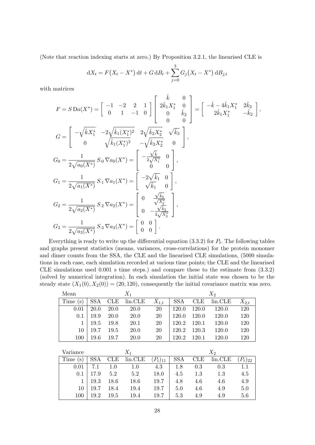(Note that reaction indexing starts at zero.) By Proposition 3.2.1, the linearised CLE is

$$
dX_t = F(X_t - X^*) dt + G dB_t + \sum_{j=0}^{3} G_j (X_t - X^*) dB_{j,t}
$$

with matrices

$$
F = S \operatorname{Da}(X^*) = \begin{bmatrix} -1 & -2 & 2 & 1 \\ 0 & 1 & -1 & 0 \end{bmatrix} \begin{bmatrix} \hat{k} & 0 \\ 2\hat{k}_1 X_1^* & 0 \\ 0 & \hat{k}_2 \\ 0 & 0 \end{bmatrix} = \begin{bmatrix} -\hat{k} - 4\hat{k}_1 X_1^* & 2\hat{k}_2 \\ 2\hat{k}_1 X_1^* & -\hat{k}_2 \end{bmatrix},
$$
  
\n
$$
G = \begin{bmatrix} -\sqrt{\hat{k}X_1^*} & -2\sqrt{\hat{k}_1(X_1^*)^2} & 2\sqrt{\hat{k}_2 X_2^*} & \sqrt{\hat{k}_3} \\ 0 & \sqrt{\hat{k}_1(X_1^*)^2} & -\sqrt{\hat{k}_2 X_2^*} & 0 \end{bmatrix},
$$
  
\n
$$
G_0 = \frac{1}{2\sqrt{a_0(X^*)}} S_0 \nabla a_0(X^*) = \begin{bmatrix} -\frac{\sqrt{\hat{k}}}{2\sqrt{X_1^*}} & 0 \\ 0 & 0 \end{bmatrix},
$$
  
\n
$$
G_1 = \frac{1}{2\sqrt{a_1(X^*)}} S_1 \nabla a_1(X^*) = \begin{bmatrix} -2\sqrt{\hat{k}_1} & 0 \\ \sqrt{\hat{k}_1} & 0 \end{bmatrix},
$$
  
\n
$$
G_2 = \frac{1}{2\sqrt{a_2(X^*)}} S_2 \nabla a_2(X^*) = \begin{bmatrix} 0 & \frac{\sqrt{\hat{k}_2}}{\sqrt{\hat{k}_2^*}} \\ 0 & -\frac{\sqrt{\hat{k}_2}}{2\sqrt{\hat{k}_2^*}} \end{bmatrix},
$$
  
\n
$$
G_3 = \frac{1}{2\sqrt{a_3(X^*)}} S_3 \nabla a_3(X^*) = \begin{bmatrix} 0 & 0 \\ 0 & 0 \end{bmatrix}.
$$

Everything is ready to write up the differential equation  $(3.3.2)$  for  $P_t$ . The following tables and graphs present statistics (means, variances, cross-correlations) for the protein monomer and dimer counts from the SSA, the CLE and the linearised CLE simulations, (5000 simulations in each case, each simulation recorded at various time points; the CLE and the linearised CLE simulations used 0.001 s time steps.) and compare these to the estimate from (3.3.2) (solved by numerical integration). In each simulation the initial state was chosen to be the steady state  $(X_1(0), X_2(0)) = (20, 120)$ , consequently the initial covariance matrix was zero.

| Mean     | $X_1$      |            |         |                 | $X_2$      |            |         |                  |
|----------|------------|------------|---------|-----------------|------------|------------|---------|------------------|
| Time(s)  | <b>SSA</b> | <b>CLE</b> | lin.CLE | $\hat{X}_{1,t}$ | <b>SSA</b> | <b>CLE</b> | lin.CLE | $\tilde X_{2,t}$ |
| 0.01     | 20.0       | 20.0       | 20.0    | 20              | 120.0      | 120.0      | 120.0   | 120              |
| 0.1      | 19.9       | 20.0       | 20.0    | 20              | 120.0      | 120.0      | 120.0   | 120              |
| 1        | 19.5       | 19.8       | 20.1    | 20              | 120.2      | 120.1      | 120.0   | 120              |
| 10       | 19.7       | 19.5       | 20.0    | 20              | 120.2      | 120.3      | 120.0   | 120              |
| 100      | 19.6       | 19.7       | 20.0    | 20              | 120.2      | 120.1      | 120.0   | 120              |
|          |            |            |         |                 |            |            |         |                  |
| Variance |            |            | $X_1$   |                 |            |            | $X_2$   |                  |
| Time(s)  | <b>SSA</b> | <b>CLE</b> | lin.CLE | $(P_t)_{11}$    | <b>SSA</b> | CLE        | lin.CLE | $(P_t)_{22}$     |
| 0.01     | 7.1        | 1.0        | 1.0     | 4.3             | 1.8        | 0.3        | 0.3     | 1.1              |
| 0.1      | 17.9       | 5.2        | 5.2     | 18.0            | 4.5        | 1.3        | 1.3     | 4.5              |
| 1        | 19.3       | 18.6       | 18.6    | 19.7            | 4.8        | 4.6        | 4.6     | 4.9              |
| 10       | 19.7       | 18.4       | 19.4    | 19.7            | 5.0        | 4.6        | 4.9     | 5.0              |
| 100      | 19.2       | 19.5       | 19.4    | 19.7            | 5.3        | 4.9        | 4.9     | 5.6              |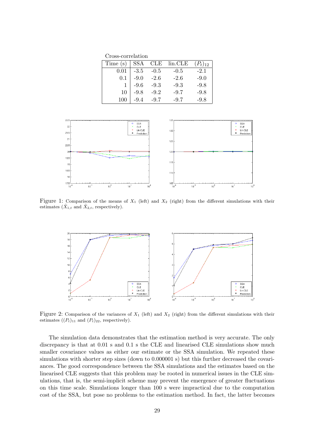Cross-correlation

| $Time(s)   SSA$ CLE $lin.CLE$ |        |        |        | $(P_t)_{12}$ |
|-------------------------------|--------|--------|--------|--------------|
| 0.01                          | $-3.5$ | $-0.5$ | $-0.5$ | $-2.1$       |
| 0.1                           | $-9.0$ | $-2.6$ | $-2.6$ | $-9.0$       |
|                               | $-9.6$ | $-9.3$ | $-9.3$ | $-9.8$       |
| 10                            | $-9.8$ | $-9.2$ | $-9.7$ | $-9.8$       |
|                               | $-9.4$ | $-9.7$ | $-9.7$ | $-9.8$       |



Figure 1: Comparison of the means of  $X_1$  (left) and  $X_2$  (right) from the different simulations with their estimates  $(X_{1,t}$  and  $\hat{X}_{2,t}$ , respectively).



Figure 2: Comparison of the variances of  $X_1$  (left) and  $X_2$  (right) from the different simulations with their estimates  $((P_t)_{11}$  and  $(P_t)_{22}$ , respectively).

The simulation data demonstrates that the estimation method is very accurate. The only discrepancy is that at 0.01 s and 0.1 s the CLE and linearised CLE simulations show much smaller covariance values as either our estimate or the SSA simulation. We repeated these simulations with shorter step sizes (down to 0.000001 s) but this further decreased the covariances. The good correspondence between the SSA simulations and the estimates based on the linearised CLE suggests that this problem may be rooted in numerical issues in the CLE simulations, that is, the semi-implicit scheme may prevent the emergence of greater fluctuations on this time scale. Simulations longer than 100 s were impractical due to the computation cost of the SSA, but pose no problems to the estimation method. In fact, the latter becomes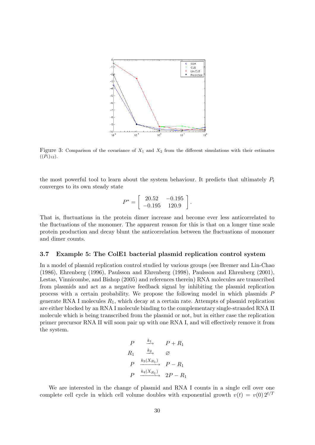

Figure 3: Comparison of the covariance of  $X_1$  and  $X_2$  from the different simulations with their estimates  $((P_t)_{12}).$ 

the most powerful tool to learn about the system behaviour. It predicts that ultimately  $P_t$ converges to its own steady state

$$
P^* = \left[ \begin{array}{cc} 20.52 & -0.195 \\ -0.195 & 120.9 \end{array} \right].
$$

That is, fluctuations in the protein dimer increase and become ever less anticorrelated to the fluctuations of the monomer. The apparent reason for this is that on a longer time scale protein production and decay blunt the anticorrelation between the fluctuations of monomer and dimer counts.

#### 3.7 Example 5: The ColE1 bacterial plasmid replication control system

In a model of plasmid replication control studied by various groups (see Bremer and Lin-Chao (1986), Ehrenberg (1996), Paulsson and Ehrenberg (1998), Paulsson and Ehrenberg (2001), Lestas, Vinnicombe, and Bishop (2005) and references therein) RNA molecules are transcribed from plasmids and act as a negative feedback signal by inhibiting the plasmid replication process with a certain probability. We propose the following model in which plasmids P generate RNA I molecules  $R_1$ , which decay at a certain rate. Attempts of plasmid replication are either blocked by an RNA I molecule binding to the complementary single-stranded RNA II molecule which is being transcribed from the plasmid or not, but in either case the replication primer precursor RNA II will soon pair up with one RNA I, and will effectively remove it from the system.

$$
\begin{array}{ccc}\nP & \xrightarrow{k_1} & P + R_1 \\
R_1 & \xrightarrow{k_2} & \varnothing \\
P & \xrightarrow{k_3(X_{R_1})} & P - R_1 \\
P & \xrightarrow{k_4(X_{R_1})} & 2P - R_1\n\end{array}
$$

We are interested in the change of plasmid and RNA I counts in a single cell over one complete cell cycle in which cell volume doubles with exponential growth  $v(t) = v(0) 2^{t/T}$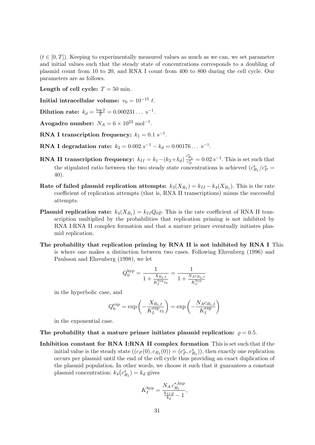$(t \in [0, T])$ . Keeping to experimentally measured values as much as we can, we set parameter and initial values such that the steady state of concentrations corresponds to a doubling of plasmid count from 10 to 20, and RNA I count from 400 to 800 during the cell cycle. Our parameters are as follows.

Length of cell cycle:  $T = 50$  min.

Initial intracellular volume:  $v_0 = 10^{-15} \ell$ .

Dilution rate:  $k_d = \frac{\log 2}{T} = 0.000231...$  s<sup>-1</sup>.

Avogadro number:  $N_A = 6 \times 10^{23} \text{ mol}^{-1}$ .

 $\mathbf{RNA\ I\ transcription\ frequency:}\ \mathit{k}_1=0.1\ \mathrm{s}^{-1}.$ 

**RNA I degradation rate:**  $k_2 = 0.002 \text{ s}^{-1} - k_d = 0.00176... \text{ s}^{-1}$ .

- **RNA II transcription frequency:**  $k_{II} = k_1 (k_2 + k_d) \frac{c_{R_1}^*}{c_P^*} = 0.02 \text{ s}^{-1}$ . This is set such that the stipulated ratio between the two steady state concentrations is achieved  $(c_{R_1}^*/c_P^*)$ 40).
- Rate of failed plasmid replication attempts:  $k_3(X_{R_1}) = k_{II} k_4(X_{R_1})$ . This is the rate coefficient of replication attempts (that is, RNA II transcriptions) minus the successful attempts.
- **Plasmid replication rate:**  $k_4(X_{R_1}) = k_{II}Q_0\varrho$ . This is the rate coefficient of RNA II transcription multiplied by the probabilities that replication priming is not inhibited by RNA I:RNA II complex formation and that a mature primer eventually initiates plasmid replication.
- The probability that replication priming by RNA II is not inhibited by RNA I This is where one makes a distinction between two cases. Following Ehrenberg (1996) and Paulsson and Ehrenberg (1998), we let

$$
Q_0^{\text{hyp}} = \frac{1}{1 + \frac{X_{R_1, t}}{K_I^{\text{hyp}} v_t}} = \frac{1}{1 + \frac{N_A c_{R_1, t}}{K_I^{\text{hyp}}}}
$$

in the hyperbolic case, and

$$
Q_0^{\exp} = \exp\left(-\frac{X_{R_1,t}}{K_I^{\exp} v_t}\right) = \exp\left(-\frac{N_A c_{R_1,t}}{K_I^{\exp}}\right)
$$

in the exponential case.

- The probability that a mature primer initiates plasmid replication:  $\rho = 0.5$ .
- Inhibition constant for RNA I:RNA II complex formation This is set such that if the initial value is the steady state  $((c_P(0), c_{R_1}(0)) = (c_P^*, c_{R_1}^*))$ , then exactly one replication occurs per plasmid until the end of the cell cycle thus providing an exact duplication of the plasmid population. In other words, we choose it such that it guarantees a constant plasmid concentration:  $k_4(c_{R_1}^*) = k_d$  gives

$$
K_I^{\textrm{hyp}} = \frac{N_A \, c_{R_1}^{\ast, \textrm{hyp}}}{\frac{k_{II} \, \varrho}{k_d} - 1},
$$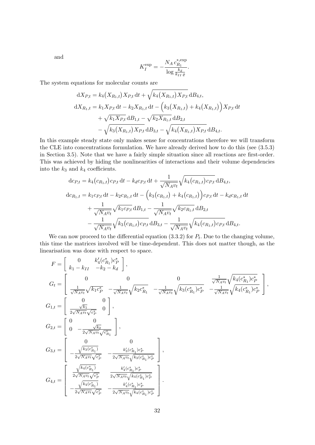and

$$
K_I^{\text{exp}}=-\frac{N_A\,c_{R_1}^{\ast,\text{exp}}}{\log \frac{k_d}{k_{II}\,\varrho}}.
$$

The system equations for molecular counts are

$$
dX_{P,t} = k_4(X_{R_1,t})X_{P,t} dt + \sqrt{k_4(X_{R_1,t})X_{P,t}} dB_{4,t},
$$
  
\n
$$
dX_{R_1,t} = k_1 X_{P,t} dt - k_2 X_{R_1,t} dt - (k_3(X_{R_1,t}) + k_4(X_{R_1,t}))X_{P,t} dt
$$
  
\n
$$
+ \sqrt{k_1 X_{P,t}} dB_{1,t} - \sqrt{k_2 X_{R_1,t}} dB_{2,t}
$$
  
\n
$$
- \sqrt{k_3(X_{R_1,t})X_{P,t}} dB_{3,t} - \sqrt{k_4(X_{R_1,t})X_{P,t}} dB_{4,t}.
$$

In this example steady state only makes sense for concentrations therefore we will transform the CLE into concentrations formulation. We have already derived how to do this (see (3.5.3) in Section 3.5). Note that we have a fairly simple situation since all reactions are first-order. This was achieved by hiding the nonlinearities of interactions and their volume dependencies into the  $k_3$  and  $k_4$  coefficients.

$$
dc_{P,t} = k_4(c_{R_1,t})c_{P,t} dt - k_d c_{P,t} dt + \frac{1}{\sqrt{N_A v_t}} \sqrt{k_4(c_{R_1,t})c_{P,t}} dB_{4,t},
$$
  
\n
$$
dc_{R_1,t} = k_1 c_{P,t} dt - k_2 c_{R_1,t} dt - \left(k_3(c_{R_1,t}) + k_4(c_{R_1,t})\right)c_{P,t} dt - k_d c_{R_1,t} dt
$$
  
\n
$$
+ \frac{1}{\sqrt{N_A v_t}} \sqrt{k_1 c_{P,t}} dB_{1,t} - \frac{1}{\sqrt{N_A v_t}} \sqrt{k_2 c_{R_1,t}} dB_{2,t}
$$
  
\n
$$
- \frac{1}{\sqrt{N_A v_t}} \sqrt{k_3(c_{R_1,t})c_{P,t}} dB_{3,t} - \frac{1}{\sqrt{N_A v_t}} \sqrt{k_4(c_{R_1,t})c_{P,t}} dB_{4,t}.
$$

We can now proceed to the differential equation  $(3.3.2)$  for  $P_t$ . Due to the changing volume, this time the matrices involved will be time-dependent. This does not matter though, as the linearisation was done with respect to space.

$$
F = \begin{bmatrix} 0 & k'_4(c^*_{R_1})c^*_P \\ k_1 - k_{II} & -k_2 - k_d \end{bmatrix},
$$
  
\n
$$
G_t = \begin{bmatrix} 0 & 0 & 0 & \frac{1}{\sqrt{N_A v_t}} \sqrt{k_4(c^*_{R_1})c^*_P} \\ \frac{1}{\sqrt{N_A v_t}} \sqrt{k_1 c^*_P} & -\frac{1}{\sqrt{N_A v_t}} \sqrt{k_2 c^*_{R_1}} & -\frac{1}{\sqrt{N_A v_t}} \sqrt{k_3(c^*_{R_1})c^*_P} & -\frac{1}{\sqrt{N_A v_t}} \sqrt{k_4(c^*_{R_1})c^*_P} \end{bmatrix},
$$
  
\n
$$
G_{1,t} = \begin{bmatrix} 0 & 0 \\ \frac{\sqrt{k_1}}{2\sqrt{N_A v_t} \sqrt{c^*_P}} & 0 \end{bmatrix},
$$
  
\n
$$
G_{2,t} = \begin{bmatrix} 0 & 0 \\ 0 & -\frac{\sqrt{k_2}}{2\sqrt{N_A v_t} \sqrt{c^*_R_1}} \end{bmatrix},
$$
  
\n
$$
G_{3,t} = \begin{bmatrix} 0 & 0 & 0 \\ -\frac{\sqrt{k_3(c^*_{R_1})}}{2\sqrt{N_A v_t} \sqrt{c^*_P}} & -\frac{k'_3(c^*_{R_1})c^*_P}{2\sqrt{N_A v_t} \sqrt{k_3(c^*_{R_1})c^*_P}} \end{bmatrix},
$$
  
\n
$$
G_{4,t} = \begin{bmatrix} \frac{\sqrt{k_4(c^*_{R_1})}}{2\sqrt{N_A v_t} \sqrt{c^*_P}} & \frac{k'_4(c^*_{R_1})c^*_P}{2\sqrt{N_A v_t} \sqrt{k_4(c^*_{R_1})c^*_P}} \\ -\frac{\sqrt{k_4(c^*_{R_1})}}{2\sqrt{N_A v_t} \sqrt{c^*_P}} & -\frac{k'_4(c^*_{R_1})c^*_P}{2\sqrt{N_A v_t} \sqrt{k_4(c^*_{R_1})c^*_P}} \end{bmatrix}.
$$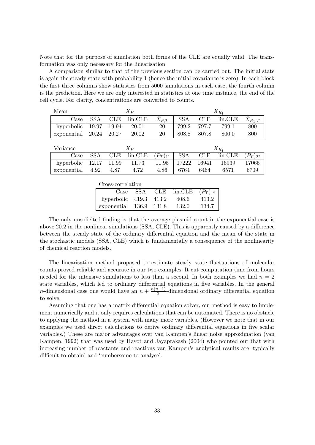Note that for the purpose of simulation both forms of the CLE are equally valid. The transformation was only necessary for the linearisation.

A comparison similar to that of the previous section can be carried out. The initial state is again the steady state with probability 1 (hence the initial covariance is zero). In each block the first three columns show statistics from 5000 simulations in each case, the fourth column is the prediction. Here we are only interested in statistics at one time instance, the end of the cell cycle. For clarity, concentrations are converted to counts.

| $X_P$<br>Mean         |            |              |         | $X_{R_1}$       |            |              |           |                   |  |
|-----------------------|------------|--------------|---------|-----------------|------------|--------------|-----------|-------------------|--|
| $\operatorname{Case}$ | <b>SSA</b> | $_{\rm CLE}$ | lin.CLE | $\hat{X}_{P,T}$ | <b>SSA</b> | $_{\rm CLE}$ | lin.CLE   | $\hat{X}_{R_1,T}$ |  |
| hyperbolic            | 19.97      | 19.94        | 20.01   | 20              | 799.2      | 797.7        | 799.1     | 800               |  |
| exponential           | 20.24      | 20.27        | 20.02   | 20              | 808.8      | 807.8        | 800.0     | 800               |  |
|                       |            |              |         |                 |            |              |           |                   |  |
|                       |            |              |         |                 |            |              |           |                   |  |
| Variance              |            |              | $X_P$   |                 |            |              | $X_{R_1}$ |                   |  |
| Case                  | <b>SSA</b> | $_{\rm CLE}$ | lin.CLE | $(P_T)_{11}$    | <b>SSA</b> | $_{\rm CLE}$ | lin.CLE   | $(P_T)_{22}$      |  |
| hyperbolic            | 12.17      | 11.99        | 11.73   | 11.95           | 17222      | 16941        | 16939     | 17065             |  |

| Cross-correlation               |                     |      |         |              |  |  |  |  |
|---------------------------------|---------------------|------|---------|--------------|--|--|--|--|
| Case   SSA                      |                     | CLE. | lin.CLE | $(P_T)_{12}$ |  |  |  |  |
| hyperbolic $ 419.3 \quad 413.2$ |                     |      | 408.6   | 413.2        |  |  |  |  |
| exponential                     | $\vert$ 136.9 131.8 |      | 132.0   | 134.7        |  |  |  |  |

The only unsolicited finding is that the average plasmid count in the exponential case is above 20.2 in the nonlinear simulations (SSA, CLE). This is apparently caused by a difference between the steady state of the ordinary differential equation and the mean of the state in the stochastic models (SSA, CLE) which is fundamentally a consequence of the nonlinearity of chemical reaction models.

The linearisation method proposed to estimate steady state fluctuations of molecular counts proved reliable and accurate in our two examples. It cut computation time from hours needed for the intensive simulations to less than a second. In both examples we had  $n = 2$ state variables, which led to ordinary differential equations in five variables. In the general *n*-dimensional case one would have an  $n + \frac{n(n+1)}{2}$  $\frac{l+1}{2}$ -dimensional ordinary differential equation to solve.

Assuming that one has a matrix differential equation solver, our method is easy to implement numerically and it only requires calculations that can be automated. There is no obstacle to applying the method in a system with many more variables. (However we note that in our examples we used direct calculations to derive ordinary differential equations in five scalar variables.) These are major advantages over van Kampen's linear noise approximation (van Kampen, 1992) that was used by Hayot and Jayaprakash (2004) who pointed out that with increasing number of reactants and reactions van Kampen's analytical results are 'typically difficult to obtain' and 'cumbersome to analyse'.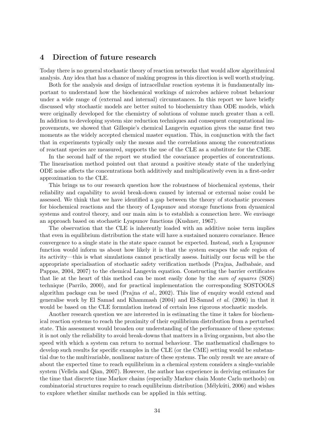## 4 Direction of future research

Today there is no general stochastic theory of reaction networks that would allow algorithmical analysis. Any idea that has a chance of making progress in this direction is well worth studying.

Both for the analysis and design of intracellular reaction systems it is fundamentally important to understand how the biochemical workings of microbes achieve robust behaviour under a wide range of (external and internal) circumstances. In this report we have briefly discussed why stochastic models are better suited to biochemistry than ODE models, which were originally developed for the chemistry of solutions of volume much greater than a cell. In addition to developing system size reduction techniques and consequent computational improvements, we showed that Gillespie's chemical Langevin equation gives the same first two moments as the widely accepted chemical master equation. This, in conjunction with the fact that in experiments typically only the means and the correlations among the concentrations of reactant species are measured, supports the use of the CLE as a substitute for the CME.

In the second half of the report we studied the covariance properties of concentrations. The linearisation method pointed out that around a positive steady state of the underlying ODE noise affects the concentrations both additively and multiplicatively even in a first-order approximation to the CLE.

This brings us to our research question how the robustness of biochemical systems, their reliability and capability to avoid break-down caused by internal or external noise could be assessed. We think that we have identified a gap between the theory of stochastic processes for biochemical reactions and the theory of Lyapunov and storage functions from dynamical systems and control theory, and our main aim is to establish a connection here. We envisage an approach based on stochastic Lyapunov functions (Kushner, 1967).

The observation that the CLE is inherently loaded with an additive noise term implies that even in equilibrium distribution the state will have a sustained nonzero covariance. Hence convergence to a single state in the state space cannot be expected. Instead, such a Lyapunov function would inform us about how likely it is that the system escapes the safe region of its activity—this is what simulations cannot practically assess. Initially our focus will be the appropriate specialisation of stochastic safety verification methods (Prajna, Jadbabaie, and Pappas, 2004, 2007) to the chemical Langevin equation. Constructing the barrier certificates that lie at the heart of this method can be most easily done by the sum of squares (SOS) technique (Parrilo, 2000), and for practical implementation the corresponding SOSTOOLS algorithm package can be used (Prajna et al., 2002). This line of enquiry would extend and generalise work by El Samad and Khammash (2004) and El-Samad et al. (2006) in that it would be based on the CLE formulation instead of certain less rigorous stochastic models.

Another research question we are interested in is estimating the time it takes for biochemical reaction systems to reach the proximity of their equilibrium distribution from a perturbed state. This assessment would broaden our understanding of the performance of these systems: it is not only the reliability to avoid break-downs that matters in a living organism, but also the speed with which a system can return to normal behaviour. The mathematical challenges to develop such results for specific examples in the CLE (or the CME) setting would be substantial due to the multivariable, nonlinear nature of these systems. The only result we are aware of about the expected time to reach equilibrium in a chemical system considers a single-variable system (Vellela and Qian, 2007). However, the author has experience in deriving estimates for the time that discrete time Markov chains (especially Markov chain Monte Carlo methods) on combinatorial structures require to reach equilibrium distribution (Mélykúti, 2006) and wishes to explore whether similar methods can be applied in this setting.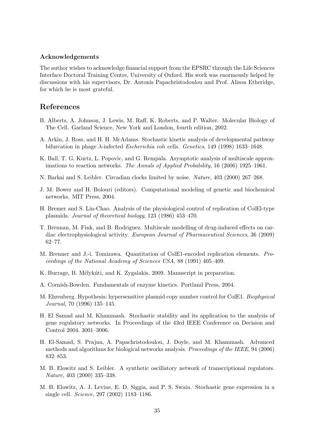#### Acknowledgements

The author wishes to acknowledge financial support from the EPSRC through the Life Sciences Interface Doctoral Training Centre, University of Oxford. His work was enormously helped by discussions with his supervisors, Dr. Antonis Papachristodoulou and Prof. Alison Etheridge, for which he is most grateful.

## References

- B. Alberts, A. Johnson, J. Lewis, M. Raff, K. Roberts, and P. Walter. Molecular Biology of The Cell. Garland Science, New York and London, fourth edition, 2002.
- A. Arkin, J. Ross, and H. H. McAdams. Stochastic kinetic analysis of developmental pathway bifurcation in phage  $\lambda$ -infected *Escherichia coli* cells. *Genetics*, 149 (1998) 1633–1648.
- K. Ball, T. G. Kurtz, L. Popovic, and G. Rempala. Asymptotic analysis of multiscale approximations to reaction networks. The Annals of Applied Probability, 16 (2006) 1925–1961.
- N. Barkai and S. Leibler. Circadian clocks limited by noise. Nature, 403 (2000) 267–268.
- J. M. Bower and H. Bolouri (editors). Computational modeling of genetic and biochemical networks. MIT Press, 2004.
- H. Bremer and S. Lin-Chao. Analysis of the physiological control of replication of ColEl-type plasmids. Journal of theoretical biology, 123 (1986) 453–470.
- T. Brennan, M. Fink, and B. Rodriguez. Multiscale modelling of drug-induced effects on cardiac electrophysiological activity. European Journal of Pharmaceutical Sciences, 36 (2009) 62–77.
- M. Brenner and J.-i. Tomizawa. Quantitation of ColE1-encoded replication elements. Proceedings of the National Academy of Sciences USA, 88 (1991) 405–409.
- K. Burrage, B. Mélykúti, and K. Zygalakis, 2009. Manuscript in preparation.
- A. Cornish-Bowden. Fundamentals of enzyme kinetics. Portland Press, 2004.
- M. Ehrenberg. Hypothesis: hypersensitive plasmid copy number control for ColE1. Biophysical Journal, 70 (1996) 135–145.
- H. El Samad and M. Khammash. Stochastic stability and its application to the analysis of gene regulatory networks. In Proceedings of the 43rd IEEE Conference on Decision and Control 2004. 3001–3006.
- H. El-Samad, S. Prajna, A. Papachristodoulou, J. Doyle, and M. Khammash. Advanced methods and algorithms for biological networks analysis. Proceedings of the IEEE, 94 (2006) 832–853.
- M. B. Elowitz and S. Leibler. A synthetic oscillatory network of transcriptional regulators. Nature, 403 (2000) 335–338.
- M. B. Elowitz, A. J. Levine, E. D. Siggia, and P. S. Swain. Stochastic gene expression in a single cell. Science, 297 (2002) 1183–1186.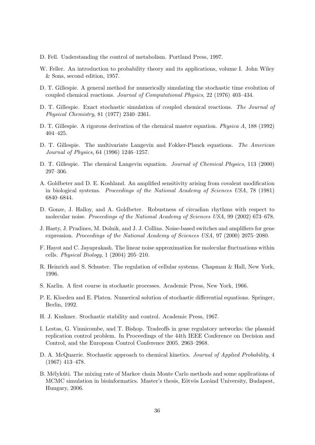- D. Fell. Understanding the control of metabolism. Portland Press, 1997.
- W. Feller. An introduction to probability theory and its applications, volume I. John Wiley & Sons, second edition, 1957.
- D. T. Gillespie. A general method for numerically simulating the stochastic time evolution of coupled chemical reactions. Journal of Computational Physics, 22 (1976) 403–434.
- D. T. Gillespie. Exact stochastic simulation of coupled chemical reactions. The Journal of Physical Chemistry, 81 (1977) 2340–2361.
- D. T. Gillespie. A rigorous derivation of the chemical master equation. Physica A, 188 (1992) 404–425.
- D. T. Gillespie. The multivariate Langevin and Fokker-Planck equations. The American Journal of Physics, 64 (1996) 1246–1257.
- D. T. Gillespie. The chemical Langevin equation. Journal of Chemical Physics, 113 (2000) 297–306.
- A. Goldbeter and D. E. Koshland. An amplified sensitivity arising from covalent modification in biological systems. Proceedings of the National Academy of Sciences USA, 78 (1981) 6840–6844.
- D. Gonze, J. Halloy, and A. Goldbeter. Robustness of circadian rhythms with respect to molecular noise. Proceedings of the National Academy of Sciences USA, 99 (2002) 673–678.
- J. Hasty, J. Pradines, M. Dolnik, and J. J. Collins. Noise-based switches and amplifiers for gene expression. Proceedings of the National Academy of Sciences USA, 97 (2000) 2075–2080.
- F. Hayot and C. Jayaprakash. The linear noise approximation for molecular fluctuations within cells. *Physical Biology*,  $1$  (2004) 205–210.
- R. Heinrich and S. Schuster. The regulation of cellular systems. Chapman & Hall, New York, 1996.
- S. Karlin. A first course in stochastic processes. Academic Press, New York, 1966.
- P. E. Kloeden and E. Platen. Numerical solution of stochastic differential equations. Springer, Berlin, 1992.
- H. J. Kushner. Stochastic stability and control. Academic Press, 1967.
- I. Lestas, G. Vinnicombe, and T. Bishop. Tradeoffs in gene regulatory networks: the plasmid replication control problem. In Proceedings of the 44th IEEE Conference on Decision and Control, and the European Control Conference 2005. 2963–2968.
- D. A. McQuarrie. Stochastic approach to chemical kinetics. Journal of Applied Probability, 4 (1967) 413–478.
- B. Mélykúti. The mixing rate of Markov chain Monte Carlo methods and some applications of MCMC simulation in bioinformatics. Master's thesis, Eötvös Loránd University, Budapest, Hungary, 2006.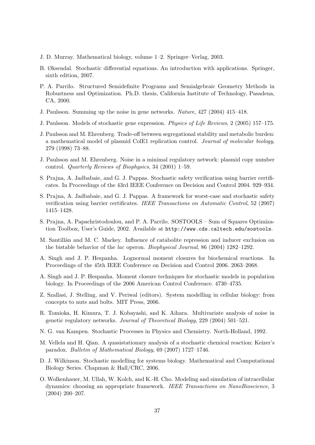- J. D. Murray. Mathematical biology, volume 1–2. Springer–Verlag, 2003.
- B. Øksendal. Stochastic differential equations. An introduction with applications. Springer, sixth edition, 2007.
- P. A. Parrilo. Structured Semidefinite Programs and Semialgebraic Geometry Methods in Robustness and Optimization. Ph.D. thesis, California Institute of Technology, Pasadena, CA, 2000.
- J. Paulsson. Summing up the noise in gene networks. Nature, 427 (2004) 415–418.
- J. Paulsson. Models of stochastic gene expression. Physics of Life Reviews, 2 (2005) 157–175.
- J. Paulsson and M. Ehrenberg. Trade-off between segregational stability and metabolic burden: a mathematical model of plasmid ColE1 replication control. Journal of molecular biology, 279 (1998) 73–88.
- J. Paulsson and M. Ehrenberg. Noise in a minimal regulatory network: plasmid copy number control. Quarterly Reviews of Biophysics, 34 (2001) 1–59.
- S. Prajna, A. Jadbabaie, and G. J. Pappas. Stochastic safety verification using barrier certificates. In Proceedings of the 43rd IEEE Conference on Decision and Control 2004. 929–934.
- S. Prajna, A. Jadbabaie, and G. J. Pappas. A framework for worst-case and stochastic safety verification using barrier certificates. IEEE Transactions on Automatic Control, 52 (2007) 1415–1428.
- S. Prajna, A. Papachristodoulou, and P. A. Parrilo. SOSTOOLS Sum of Squares Optimization Toolbox, User's Guide, 2002. Available at http://www.cds.caltech.edu/sostools.
- M. Santillán and M. C. Mackey. Influence of catabolite repression and inducer exclusion on the bistable behavior of the lac operon. Biophysical Journal, 86 (2004) 1282–1292.
- A. Singh and J. P. Hespanha. Lognormal moment closures for biochemical reactions. In Proceedings of the 45th IEEE Conference on Decision and Control 2006. 2063–2068.
- A. Singh and J. P. Hespanha. Moment closure techniques for stochastic models in population biology. In Proceedings of the 2006 American Control Conference. 4730–4735.
- Z. Szallasi, J. Stelling, and V. Periwal (editors). System modelling in cellular biology: from concepts to nuts and bolts. MIT Press, 2006.
- R. Tomioka, H. Kimura, T. J. Kobayashi, and K. Aihara. Multivariate analysis of noise in genetic regulatory networks. Journal of Theoretical Biology, 229 (2004) 501–521.
- N. G. van Kampen. Stochastic Processes in Physics and Chemistry. North-Holland, 1992.
- M. Vellela and H. Qian. A quasistationary analysis of a stochastic chemical reaction: Keizer's paradox. Bulletin of Mathematical Biology, 69 (2007) 1727–1746.
- D. J. Wilkinson. Stochastic modelling for systems biology. Mathematical and Computational Biology Series. Chapman & Hall/CRC, 2006.
- O. Wolkenhauer, M. Ullah, W. Kolch, and K.-H. Cho. Modeling and simulation of intracellular dynamics: choosing an appropriate framework. IEEE Transactions on NanoBioscience, 3 (2004) 200–207.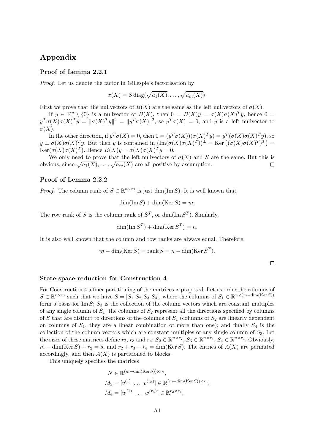## Appendix

### Proof of Lemma 2.2.1

Proof. Let us denote the factor in Gillespie's factorisation by

$$
\sigma(X) = S \operatorname{diag}(\sqrt{a_1(X)}, \ldots, \sqrt{a_m(X)}).
$$

First we prove that the nullvectors of  $B(X)$  are the same as the left nullvectors of  $\sigma(X)$ .

If  $y \in \mathbb{R}^n \setminus \{0\}$  is a nullvector of  $B(X)$ , then  $0 = B(X)y = \sigma(X)\sigma(X)^T y$ , hence  $0 =$  $y^T \sigma(X) \sigma(X)^T y = \|\sigma(X)^T y\|^2 = \|y^T \sigma(X)\|^2$ , so  $y^T \sigma(X) = 0$ , and y is a left nullvector to  $\sigma(X)$ .

In the other direction, if  $y^T \sigma(X) = 0$ , then  $0 = (y^T \sigma(X))(\sigma(X)^T y) = y^T (\sigma(X) \sigma(X)^T y)$ , so  $y \perp \sigma(X)\sigma(X)^T y$ . But then y is contained in  $(\text{Im}(\sigma(X)\sigma(X)^T))^{\perp} = \text{Ker}((\sigma(X)\sigma(X)^T)^T) =$  $\text{Ker}(\sigma(X)\sigma(X)^{T})$ . Hence  $B(X)y = \sigma(X)\sigma(X)^{T}y = 0$ .

We only need to prove that the left nullvectors of  $\sigma(X)$  and S are the same. But this is obvious, since  $\sqrt{a_1(X)}, \ldots, \sqrt{a_m(X)}$  are all positive by assumption.  $\Box$ 

#### Proof of Lemma 2.2.2

*Proof.* The column rank of  $S \in \mathbb{R}^{n \times m}$  is just  $\dim(\text{Im } S)$ . It is well known that

$$
\dim(\operatorname{Im} S) + \dim(\operatorname{Ker} S) = m.
$$

The row rank of S is the column rank of  $S^T$ , or  $\dim(\text{Im } S^T)$ . Similarly,

$$
\dim(\operatorname{Im} S^T) + \dim(\operatorname{Ker} S^T) = n.
$$

It is also well known that the column and row ranks are always equal. Therefore

$$
m - \dim(\text{Ker } S) = \text{rank } S = n - \dim(\text{Ker } S^T).
$$

#### State space reduction for Construction 4

For Construction 4 a finer partitioning of the matrices is proposed. Let us order the columns of  $S \in \mathbb{R}^{n \times m}$  such that we have  $S = [S_1 \ S_2 \ S_3 \ S_4]$ , where the columns of  $S_1 \in \mathbb{R}^{n \times (m-\dim(\text{Ker }S))}$ form a basis for Im  $S$ ;  $S_3$  is the collection of the column vectors which are constant multiples of any single column of  $S_1$ ; the columns of  $S_2$  represent all the directions specified by columns of S that are distinct to directions of the columns of  $S_1$  (columns of  $S_2$  are linearly dependent on columns of  $S_1$ , they are a linear combination of more than one); and finally  $S_4$  is the collection of the column vectors which are constant multiples of any single column of  $S_3$ . Let the sizes of these matrices define  $r_2$ ,  $r_3$  and  $r_4$ :  $S_2 \in \mathbb{R}^{n \times r_2}$ ,  $S_3 \in \mathbb{R}^{n \times r_3}$ ,  $S_4 \in \mathbb{R}^{n \times r_4}$ . Obviously,  $m - \dim(\text{Ker } S) + r_2 = s$ , and  $r_2 + r_3 + r_4 = \dim(\text{Ker } S)$ . The entries of  $A(X)$  are permuted accordingly, and then  $A(X)$  is partitioned to blocks.

This uniquely specifies the matrices

$$
N \in \mathbb{R}^{(m-\dim(\text{Ker } S)) \times r_2},
$$
  
\n
$$
M_3 = [v^{(1)} \dots v^{(r_3)}] \in \mathbb{R}^{(m-\dim(\text{Ker } S)) \times r_3},
$$
  
\n
$$
M_4 = [w^{(1)} \dots w^{(r_4)}] \in \mathbb{R}^{r_2 \times r_4},
$$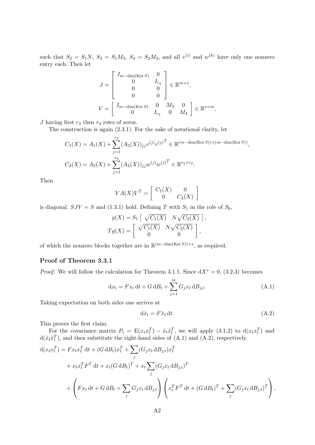such that  $S_2 = S_1N$ ,  $S_3 = S_1M_3$ ,  $S_4 = S_2M_4$ , and all  $v^{(i)}$  and  $w^{(k)}$  have only one nonzero entry each. Then let

$$
J = \begin{bmatrix} I_{m-\dim(\text{Ker } S)} & 0 \\ 0 & I_{r_2} \\ 0 & 0 \\ 0 & 0 \end{bmatrix} \in \mathbb{R}^{m \times s},
$$
  

$$
V = \begin{bmatrix} I_{m-\dim(\text{Ker } S)} & 0 & M_3 & 0 \\ 0 & I_{r_2} & 0 & M_4 \end{bmatrix} \in \mathbb{R}^{s \times m},
$$

J having first  $r_3$  then  $r_4$  rows of zeros.

The construction is again (2.3.1). For the sake of notational clarity, let

$$
C_1(X) = A_1(X) + \sum_{j=1}^{r_3} (A_3(X))_{jj} v^{(j)} v^{(j)T} \in \mathbb{R}^{(m-\dim(\text{Ker } S)) \times (m-\dim(\text{Ker } S))},
$$
  

$$
C_2(X) = A_2(X) + \sum_{j=1}^{r_4} (A_4(X))_{jj} w^{(j)} w^{(j)T} \in \mathbb{R}^{r_2 \times r_2}.
$$

Then

$$
VA(X)V^T = \left[\begin{array}{cc} C_1(X) & 0 \\ 0 & C_2(X) \end{array}\right]
$$

is diagonal.  $SJV = S$  and (1.3.1) hold. Defining T with  $S_1$  in the role of  $S_b$ ,

$$
g(X) = S_1 \left[ \begin{array}{cc} \sqrt{C_1(X)} & N \sqrt{C_2(X)} \\ Tg(X) = \begin{bmatrix} \sqrt{C_1(X)} & N \sqrt{C_2(X)} \\ 0 & 0 \end{bmatrix} \right],
$$

of which the nonzero blocks together are in  $\mathbb{R}^{(m-\dim(\text{Ker }S))\times s}$ , as required.

### Proof of Theorem 3.3.1

*Proof.* We will follow the calculation for Theorem 3.1.1. Since  $dX^* = 0$ , (3.2.3) becomes

$$
\mathrm{d}x_t = F x_t \,\mathrm{d}t + G \,\mathrm{d}B_t + \sum_{j=1}^m G_j x_t \,\mathrm{d}B_{j,t}.\tag{A.1}
$$

Taking expectation on both sides one arrives at

$$
\mathrm{d}\hat{x}_t = F\hat{x}_t \,\mathrm{d}t. \tag{A.2}
$$

This proves the first claim.

For the covariance matrix  $P_t = \mathbb{E}(x_t x_t^T) - \hat{x}_t \hat{x}_t^T$ , we will apply (3.1.2) to  $d(x_t x_t^T)$  and  $d(\hat{x}_t \hat{x}_t^T)$ , and then substitute the right-hand sides of  $(A.1)$  and  $(A.2)$ , respectively.

$$
d(x_t x_t^T) = F x_t x_t^T dt + (G dB_t) x_t^T + \sum_j (G_j x_t dB_{j,t}) x_t^T
$$
  
+ 
$$
x_t x_t^T F^T dt + x_t (G dB_t)^T + x_t \sum_j (G_j x_t dB_{j,t})^T
$$
  
+ 
$$
\left(F x_t dt + G dB_t + \sum_j G_j x_t dB_{j,t}\right) \left(x_t^T F^T dt + (G dB_t)^T + \sum_j (G_j x_t dB_{j,t})^T\right),
$$